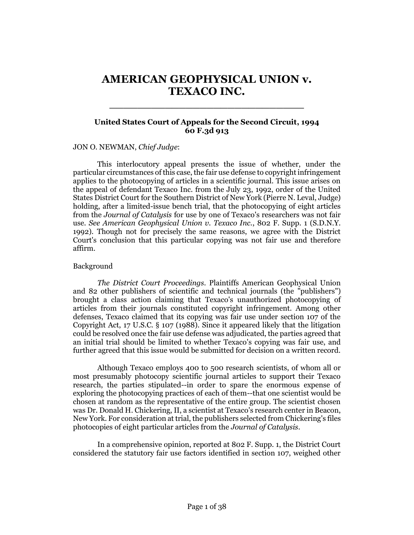# **AMERICAN GEOPHYSICAL UNION v. TEXACO INC.**

\_\_\_\_\_\_\_\_\_\_\_\_\_\_\_\_\_\_\_\_\_\_\_\_\_\_\_\_

## **United States Court of Appeals for the Second Circuit, 1994 60 F.3d 913**

#### JON O. NEWMAN, *Chief Judge*:

This interlocutory appeal presents the issue of whether, under the particular circumstances of this case, the fair use defense to copyright infringement applies to the photocopying of articles in a scientific journal. This issue arises on the appeal of defendant Texaco Inc. from the July 23, 1992, order of the United States District Court for the Southern District of New York (Pierre N. Leval, Judge) holding, after a limited-issue bench trial, that the photocopying of eight articles from the *Journal of Catalysis* for use by one of Texaco's researchers was not fair use. *See American Geophysical Union v. Texaco Inc.*, 802 F. Supp. 1 (S.D.N.Y. 1992). Though not for precisely the same reasons, we agree with the District Court's conclusion that this particular copying was not fair use and therefore affirm.

#### Background

*The District Court Proceedings*. Plaintiffs American Geophysical Union and 82 other publishers of scientific and technical journals (the "publishers") brought a class action claiming that Texaco's unauthorized photocopying of articles from their journals constituted copyright infringement. Among other defenses, Texaco claimed that its copying was fair use under section 107 of the Copyright Act, 17 U.S.C. § 107 (1988). Since it appeared likely that the litigation could be resolved once the fair use defense was adjudicated, the parties agreed that an initial trial should be limited to whether Texaco's copying was fair use, and further agreed that this issue would be submitted for decision on a written record.

Although Texaco employs 400 to 500 research scientists, of whom all or most presumably photocopy scientific journal articles to support their Texaco research, the parties stipulated--in order to spare the enormous expense of exploring the photocopying practices of each of them--that one scientist would be chosen at random as the representative of the entire group. The scientist chosen was Dr. Donald H. Chickering, II, a scientist at Texaco's research center in Beacon, New York. For consideration at trial, the publishers selected from Chickering's files photocopies of eight particular articles from the *Journal of Catalysis*.

In a comprehensive opinion, reported at 802 F. Supp. 1, the District Court considered the statutory fair use factors identified in section 107, weighed other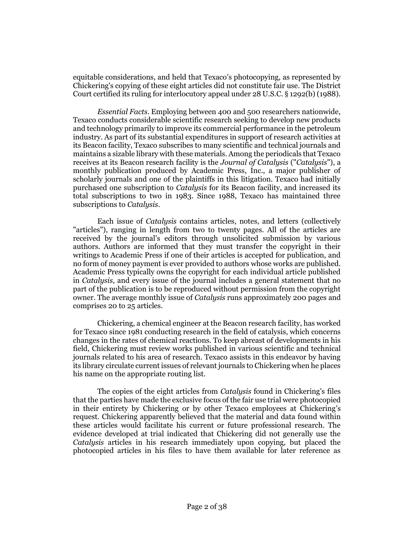equitable considerations, and held that Texaco's photocopying, as represented by Chickering's copying of these eight articles did not constitute fair use. The District Court certified its ruling for interlocutory appeal under 28 U.S.C. § 1292(b) (1988).

*Essential Facts*. Employing between 400 and 500 researchers nationwide, Texaco conducts considerable scientific research seeking to develop new products and technology primarily to improve its commercial performance in the petroleum industry. As part of its substantial expenditures in support of research activities at its Beacon facility, Texaco subscribes to many scientific and technical journals and maintains a sizable library with these materials. Among the periodicals that Texaco receives at its Beacon research facility is the *Journal of Catalysis* ("*Catalysis*"), a monthly publication produced by Academic Press, Inc., a major publisher of scholarly journals and one of the plaintiffs in this litigation. Texaco had initially purchased one subscription to *Catalysis* for its Beacon facility, and increased its total subscriptions to two in 1983. Since 1988, Texaco has maintained three subscriptions to *Catalysis*.

Each issue of *Catalysis* contains articles, notes, and letters (collectively "articles"), ranging in length from two to twenty pages. All of the articles are received by the journal's editors through unsolicited submission by various authors. Authors are informed that they must transfer the copyright in their writings to Academic Press if one of their articles is accepted for publication, and no form of money payment is ever provided to authors whose works are published. Academic Press typically owns the copyright for each individual article published in *Catalysis*, and every issue of the journal includes a general statement that no part of the publication is to be reproduced without permission from the copyright owner. The average monthly issue of *Catalysis* runs approximately 200 pages and comprises 20 to 25 articles.

Chickering, a chemical engineer at the Beacon research facility, has worked for Texaco since 1981 conducting research in the field of catalysis, which concerns changes in the rates of chemical reactions. To keep abreast of developments in his field, Chickering must review works published in various scientific and technical journals related to his area of research. Texaco assists in this endeavor by having its library circulate current issues of relevant journals to Chickering when he places his name on the appropriate routing list.

The copies of the eight articles from *Catalysis* found in Chickering's files that the parties have made the exclusive focus of the fair use trial were photocopied in their entirety by Chickering or by other Texaco employees at Chickering's request. Chickering apparently believed that the material and data found within these articles would facilitate his current or future professional research. The evidence developed at trial indicated that Chickering did not generally use the *Catalysis* articles in his research immediately upon copying, but placed the photocopied articles in his files to have them available for later reference as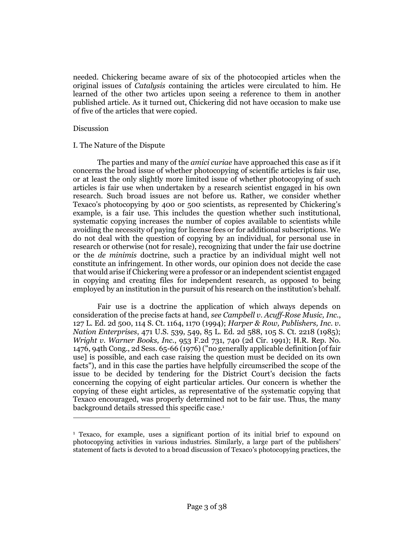needed. Chickering became aware of six of the photocopied articles when the original issues of *Catalysis* containing the articles were circulated to him. He learned of the other two articles upon seeing a reference to them in another published article. As it turned out, Chickering did not have occasion to make use of five of the articles that were copied.

#### Discussion

 $\overline{a}$ 

#### I. The Nature of the Dispute

The parties and many of the *amici curiae* have approached this case as if it concerns the broad issue of whether photocopying of scientific articles is fair use, or at least the only slightly more limited issue of whether photocopying of such articles is fair use when undertaken by a research scientist engaged in his own research. Such broad issues are not before us. Rather, we consider whether Texaco's photocopying by 400 or 500 scientists, as represented by Chickering's example, is a fair use. This includes the question whether such institutional, systematic copying increases the number of copies available to scientists while avoiding the necessity of paying for license fees or for additional subscriptions. We do not deal with the question of copying by an individual, for personal use in research or otherwise (not for resale), recognizing that under the fair use doctrine or the *de minimis* doctrine, such a practice by an individual might well not constitute an infringement. In other words, our opinion does not decide the case that would arise if Chickering were a professor or an independent scientist engaged in copying and creating files for independent research, as opposed to being employed by an institution in the pursuit of his research on the institution's behalf.

Fair use is a doctrine the application of which always depends on consideration of the precise facts at hand, *see Campbell v. Acuff-Rose Music, Inc.*, 127 L. Ed. 2d 500, 114 S. Ct. 1164, 1170 (1994); *Harper & Row, Publishers, Inc. v. Nation Enterprises*, 471 U.S. 539, 549, 85 L. Ed. 2d 588, 105 S. Ct. 2218 (1985); *Wright v. Warner Books, Inc.*, 953 F.2d 731, 740 (2d Cir. 1991); H.R. Rep. No. 1476, 94th Cong., 2d Sess. 65-66 (1976) ("no generally applicable definition [of fair use] is possible, and each case raising the question must be decided on its own facts"), and in this case the parties have helpfully circumscribed the scope of the issue to be decided by tendering for the District Court's decision the facts concerning the copying of eight particular articles. Our concern is whether the copying of these eight articles, as representative of the systematic copying that Texaco encouraged, was properly determined not to be fair use. Thus, the many background details stressed this specific case.<sup>1</sup>

<sup>&</sup>lt;sup>1</sup> Texaco, for example, uses a significant portion of its initial brief to expound on photocopying activities in various industries. Similarly, a large part of the publishers' statement of facts is devoted to a broad discussion of Texaco's photocopying practices, the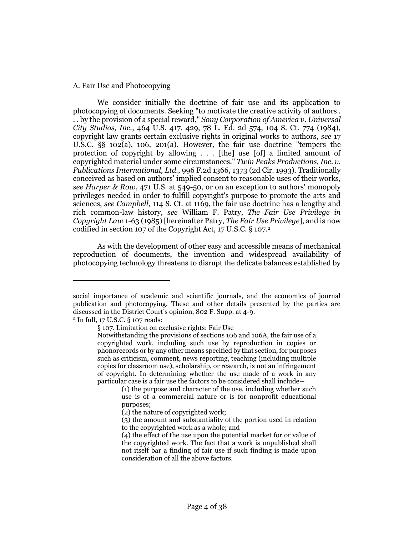#### A. Fair Use and Photocopying

We consider initially the doctrine of fair use and its application to photocopying of documents. Seeking "to motivate the creative activity of authors . . . by the provision of a special reward," *Sony Corporation of America v. Universal City Studios, Inc.*, 464 U.S. 417, 429, 78 L. Ed. 2d 574, 104 S. Ct. 774 (1984), copyright law grants certain exclusive rights in original works to authors, *see* 17 U.S.C. §§ 102(a), 106, 201(a). However, the fair use doctrine "tempers the protection of copyright by allowing . . . [the] use [of] a limited amount of copyrighted material under some circumstances." *Twin Peaks Productions, Inc. v. Publications International, Ltd.*, 996 F.2d 1366, 1373 (2d Cir. 1993). Traditionally conceived as based on authors' implied consent to reasonable uses of their works, *see Harper & Row*, 471 U.S. at 549-50, or on an exception to authors' monopoly privileges needed in order to fulfill copyright's purpose to promote the arts and sciences, *see Campbell*, 114 S. Ct. at 1169, the fair use doctrine has a lengthy and rich common-law history, *see* William F. Patry, *The Fair Use Privilege in Copyright Law* 1-63 (1985) [hereinafter Patry, *The Fair Use Privilege*], and is now codified in section 107 of the Copyright Act, 17 U.S.C. § 107.<sup>2</sup>

As with the development of other easy and accessible means of mechanical reproduction of documents, the invention and widespread availability of photocopying technology threatens to disrupt the delicate balances established by

2 In full, 17 U.S.C. § 107 reads:

social importance of academic and scientific journals, and the economics of journal publication and photocopying. These and other details presented by the parties are discussed in the District Court's opinion, 802 F. Supp. at 4-9.

<sup>§ 107.</sup> Limitation on exclusive rights: Fair Use

Notwithstanding the provisions of sections 106 and 106A, the fair use of a copyrighted work, including such use by reproduction in copies or phonorecords or by any other means specified by that section, for purposes such as criticism, comment, news reporting, teaching (including multiple copies for classroom use), scholarship, or research, is not an infringement of copyright. In determining whether the use made of a work in any particular case is a fair use the factors to be considered shall include--

<sup>(1)</sup> the purpose and character of the use, including whether such use is of a commercial nature or is for nonprofit educational purposes;

<sup>(2)</sup> the nature of copyrighted work;

<sup>(3)</sup> the amount and substantiality of the portion used in relation to the copyrighted work as a whole; and

<sup>(4)</sup> the effect of the use upon the potential market for or value of the copyrighted work. The fact that a work is unpublished shall not itself bar a finding of fair use if such finding is made upon consideration of all the above factors.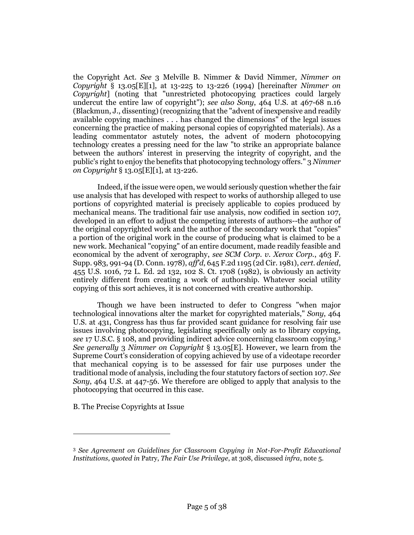the Copyright Act. *See* 3 Melville B. Nimmer & David Nimmer, *Nimmer on Copyright* § 13.05[E][1], at 13-225 to 13-226 (1994) [hereinafter *Nimmer on Copyright*] (noting that "unrestricted photocopying practices could largely undercut the entire law of copyright"); *see also Sony*, 464 U.S. at 467-68 n.16 (Blackmun, J., dissenting) (recognizing that the "advent of inexpensive and readily available copying machines . . . has changed the dimensions" of the legal issues concerning the practice of making personal copies of copyrighted materials). As a leading commentator astutely notes, the advent of modern photocopying technology creates a pressing need for the law "to strike an appropriate balance between the authors' interest in preserving the integrity of copyright, and the public's right to enjoy the benefits that photocopying technology offers." 3 *Nimmer on Copyright* § 13.05[E][1], at 13-226.

Indeed, if the issue were open, we would seriously question whether the fair use analysis that has developed with respect to works of authorship alleged to use portions of copyrighted material is precisely applicable to copies produced by mechanical means. The traditional fair use analysis, now codified in section 107, developed in an effort to adjust the competing interests of authors--the author of the original copyrighted work and the author of the secondary work that "copies" a portion of the original work in the course of producing what is claimed to be a new work. Mechanical "copying" of an entire document, made readily feasible and economical by the advent of xerography, *see SCM Corp. v. Xerox Corp.*, 463 F. Supp. 983, 991-94 (D. Conn. 1978), *aff'd*, 645 F.2d 1195 (2d Cir. 1981), *cert. denied*, 455 U.S. 1016, 72 L. Ed. 2d 132, 102 S. Ct. 1708 (1982), is obviously an activity entirely different from creating a work of authorship. Whatever social utility copying of this sort achieves, it is not concerned with creative authorship.

Though we have been instructed to defer to Congress "when major technological innovations alter the market for copyrighted materials," *Sony*, 464 U.S. at 431, Congress has thus far provided scant guidance for resolving fair use issues involving photocopying, legislating specifically only as to library copying, *see* 17 U.S.C. § 108, and providing indirect advice concerning classroom copying.<sup>3</sup> *See generally* 3 *Nimmer on Copyright* § 13.05[E]. However, we learn from the Supreme Court's consideration of copying achieved by use of a videotape recorder that mechanical copying is to be assessed for fair use purposes under the traditional mode of analysis, including the four statutory factors of section 107. *See Sony*, 464 U.S. at 447-56. We therefore are obliged to apply that analysis to the photocopying that occurred in this case.

B. The Precise Copyrights at Issue

<sup>3</sup> *See Agreement on Guidelines for Classroom Copying in Not-For-Profit Educational Institutions*, *quoted in* Patry, *The Fair Use Privilege*, at 308, discussed *infra*, note 5.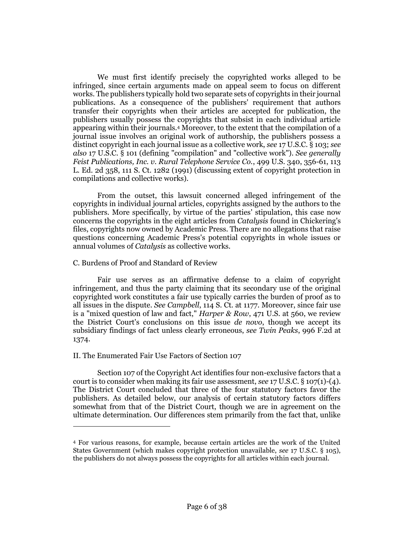We must first identify precisely the copyrighted works alleged to be infringed, since certain arguments made on appeal seem to focus on different works. The publishers typically hold two separate sets of copyrights in their journal publications. As a consequence of the publishers' requirement that authors transfer their copyrights when their articles are accepted for publication, the publishers usually possess the copyrights that subsist in each individual article appearing within their journals.<sup>4</sup> Moreover, to the extent that the compilation of a journal issue involves an original work of authorship, the publishers possess a distinct copyright in each journal issue as a collective work, *see* 17 U.S.C. § 103; *see also* 17 U.S.C. § 101 (defining "compilation" and "collective work"). *See generally Feist Publications, Inc. v. Rural Telephone Service Co.*, 499 U.S. 340, 356-61, 113 L. Ed. 2d 358, 111 S. Ct. 1282 (1991) (discussing extent of copyright protection in compilations and collective works).

From the outset, this lawsuit concerned alleged infringement of the copyrights in individual journal articles, copyrights assigned by the authors to the publishers. More specifically, by virtue of the parties' stipulation, this case now concerns the copyrights in the eight articles from *Catalysis* found in Chickering's files, copyrights now owned by Academic Press. There are no allegations that raise questions concerning Academic Press's potential copyrights in whole issues or annual volumes of *Catalysis* as collective works.

#### C. Burdens of Proof and Standard of Review

Fair use serves as an affirmative defense to a claim of copyright infringement, and thus the party claiming that its secondary use of the original copyrighted work constitutes a fair use typically carries the burden of proof as to all issues in the dispute. *See Campbell*, 114 S. Ct. at 1177. Moreover, since fair use is a "mixed question of law and fact," *Harper & Row*, 471 U.S. at 560, we review the District Court's conclusions on this issue *de novo*, though we accept its subsidiary findings of fact unless clearly erroneous, *see Twin Peaks*, 996 F.2d at 1374.

# II. The Enumerated Fair Use Factors of Section 107

 $\overline{a}$ 

Section 107 of the Copyright Act identifies four non-exclusive factors that a court is to consider when making its fair use assessment, *see* 17 U.S.C. § 107(1)-(4). The District Court concluded that three of the four statutory factors favor the publishers. As detailed below, our analysis of certain statutory factors differs somewhat from that of the District Court, though we are in agreement on the ultimate determination. Our differences stem primarily from the fact that, unlike

<sup>4</sup> For various reasons, for example, because certain articles are the work of the United States Government (which makes copyright protection unavailable, *see* 17 U.S.C. § 105), the publishers do not always possess the copyrights for all articles within each journal.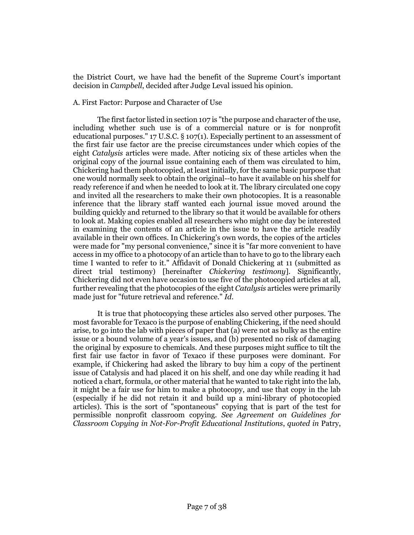the District Court, we have had the benefit of the Supreme Court's important decision in *Campbell*, decided after Judge Leval issued his opinion.

#### A. First Factor: Purpose and Character of Use

The first factor listed in section 107 is "the purpose and character of the use, including whether such use is of a commercial nature or is for nonprofit educational purposes." 17 U.S.C. § 107(1). Especially pertinent to an assessment of the first fair use factor are the precise circumstances under which copies of the eight *Catalysis* articles were made. After noticing six of these articles when the original copy of the journal issue containing each of them was circulated to him, Chickering had them photocopied, at least initially, for the same basic purpose that one would normally seek to obtain the original--to have it available on his shelf for ready reference if and when he needed to look at it. The library circulated one copy and invited all the researchers to make their own photocopies. It is a reasonable inference that the library staff wanted each journal issue moved around the building quickly and returned to the library so that it would be available for others to look at. Making copies enabled all researchers who might one day be interested in examining the contents of an article in the issue to have the article readily available in their own offices. In Chickering's own words, the copies of the articles were made for "my personal convenience," since it is "far more convenient to have access in my office to a photocopy of an article than to have to go to the library each time I wanted to refer to it." Affidavit of Donald Chickering at 11 (submitted as direct trial testimony) [hereinafter *Chickering testimony*]. Significantly, Chickering did not even have occasion to use five of the photocopied articles at all, further revealing that the photocopies of the eight *Catalysis* articles were primarily made just for "future retrieval and reference." *Id.*

It is true that photocopying these articles also served other purposes. The most favorable for Texaco is the purpose of enabling Chickering, if the need should arise, to go into the lab with pieces of paper that (a) were not as bulky as the entire issue or a bound volume of a year's issues, and (b) presented no risk of damaging the original by exposure to chemicals. And these purposes might suffice to tilt the first fair use factor in favor of Texaco if these purposes were dominant. For example, if Chickering had asked the library to buy him a copy of the pertinent issue of Catalysis and had placed it on his shelf, and one day while reading it had noticed a chart, formula, or other material that he wanted to take right into the lab, it might be a fair use for him to make a photocopy, and use that copy in the lab (especially if he did not retain it and build up a mini-library of photocopied articles). This is the sort of "spontaneous" copying that is part of the test for permissible nonprofit classroom copying. *See Agreement on Guidelines for Classroom Copying in Not-For-Profit Educational Institutions*, *quoted in* Patry,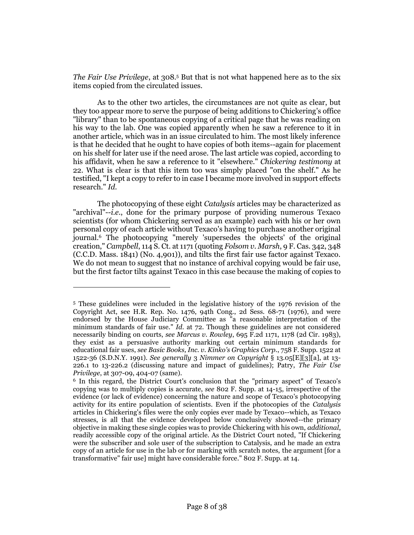*The Fair Use Privilege*, at 308.<sup>5</sup> But that is not what happened here as to the six items copied from the circulated issues.

As to the other two articles, the circumstances are not quite as clear, but they too appear more to serve the purpose of being additions to Chickering's office "library" than to be spontaneous copying of a critical page that he was reading on his way to the lab. One was copied apparently when he saw a reference to it in another article, which was in an issue circulated to him. The most likely inference is that he decided that he ought to have copies of both items--again for placement on his shelf for later use if the need arose. The last article was copied, according to his affidavit, when he saw a reference to it "elsewhere." *Chickering testimony* at 22. What is clear is that this item too was simply placed "on the shelf." As he testified, "I kept a copy to refer to in case I became more involved in support effects research." *Id.*

The photocopying of these eight *Catalysis* articles may be characterized as "archival"--*i.e.*, done for the primary purpose of providing numerous Texaco scientists (for whom Chickering served as an example) each with his or her own personal copy of each article without Texaco's having to purchase another original journal.<sup>6</sup> The photocopying "merely 'supersedes the objects' of the original creation," *Campbell*, 114 S. Ct. at 1171 (quoting *Folsom v. Marsh*, 9 F. Cas. 342, 348 (C.C.D. Mass. 1841) (No. 4,901)), and tilts the first fair use factor against Texaco. We do not mean to suggest that no instance of archival copying would be fair use, but the first factor tilts against Texaco in this case because the making of copies to

<sup>5</sup> These guidelines were included in the legislative history of the 1976 revision of the Copyright Act, see H.R. Rep. No. 1476, 94th Cong., 2d Sess. 68-71 (1976), and were endorsed by the House Judiciary Committee as "a reasonable interpretation of the minimum standards of fair use." *Id.* at 72. Though these guidelines are not considered necessarily binding on courts, *see Marcus v. Rowley*, 695 F.2d 1171, 1178 (2d Cir. 1983), they exist as a persuasive authority marking out certain minimum standards for educational fair uses, *see Basic Books, Inc. v. Kinko's Graphics Corp.*, 758 F. Supp. 1522 at 1522-36 (S.D.N.Y. 1991). *See generally* 3 *Nimmer on Copyright* § 13.05[E][3][a], at 13- 226.1 to 13-226.2 (discussing nature and impact of guidelines); Patry, *The Fair Use Privilege*, at 307-09, 404-07 (same).

<sup>6</sup> In this regard, the District Court's conclusion that the "primary aspect" of Texaco's copying was to multiply copies is accurate, *see* 802 F. Supp. at 14-15, irrespective of the evidence (or lack of evidence) concerning the nature and scope of Texaco's photocopying activity for its entire population of scientists. Even if the photocopies of the *Catalysis* articles in Chickering's files were the only copies ever made by Texaco--which, as Texaco stresses, is all that the evidence developed below conclusively showed--the primary objective in making these single copies was to provide Chickering with his own, *additional*, readily accessible copy of the original article. As the District Court noted, "If Chickering were the subscriber and sole user of the subscription to Catalysis, and he made an extra copy of an article for use in the lab or for marking with scratch notes, the argument [for a transformative" fair use] might have considerable force." 802 F. Supp. at 14.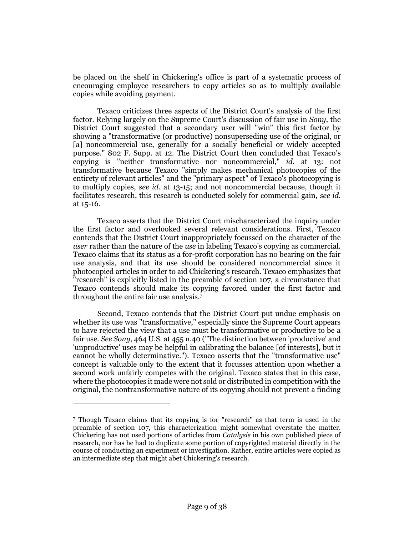be placed on the shelf in Chickering's office is part of a systematic process of encouraging employee researchers to copy articles so as to multiply available copies while avoiding payment.

Texaco criticizes three aspects of the District Court's analysis of the first factor. Relying largely on the Supreme Court's discussion of fair use in *Sony*, the District Court suggested that a secondary user will "win" this first factor by showing a "transformative (or productive) nonsuperseding use of the original, or [a] noncommercial use, generally for a socially beneficial or widely accepted purpose." 802 F. Supp. at 12. The District Court then concluded that Texaco's copying is "neither transformative nor noncommercial," *id.* at 13: not transformative because Texaco "simply makes mechanical photocopies of the entirety of relevant articles" and the "primary aspect" of Texaco's photocopying is to multiply copies, *see id.* at 13-15; and not noncommercial because, though it facilitates research, this research is conducted solely for commercial gain, *see id.* at 15-16.

Texaco asserts that the District Court mischaracterized the inquiry under the first factor and overlooked several relevant considerations. First, Texaco contends that the District Court inappropriately focussed on the character of the *user* rather than the nature of the *use* in labeling Texaco's copying as commercial. Texaco claims that its status as a for-profit corporation has no bearing on the fair use analysis, and that its use should be considered noncommercial since it photocopied articles in order to aid Chickering's research. Texaco emphasizes that "research" is explicitly listed in the preamble of section 107, a circumstance that Texaco contends should make its copying favored under the first factor and throughout the entire fair use analysis.<sup>7</sup>

Second, Texaco contends that the District Court put undue emphasis on whether its use was "transformative," especially since the Supreme Court appears to have rejected the view that a use must be transformative or productive to be a fair use. *See Sony*, 464 U.S. at 455 n.40 ("The distinction between 'productive' and 'unproductive' uses may be helpful in calibrating the balance [of interests], but it cannot be wholly determinative."). Texaco asserts that the "transformative use" concept is valuable only to the extent that it focusses attention upon whether a second work unfairly competes with the original. Texaco states that in this case, where the photocopies it made were not sold or distributed in competition with the original, the nontransformative nature of its copying should not prevent a finding

<sup>7</sup> Though Texaco claims that its copying is for "research" as that term is used in the preamble of section 107, this characterization might somewhat overstate the matter. Chickering has not used portions of articles from *Catalysis* in his own published piece of research, nor has he had to duplicate some portion of copyrighted material directly in the course of conducting an experiment or investigation. Rather, entire articles were copied as an intermediate step that might abet Chickering's research.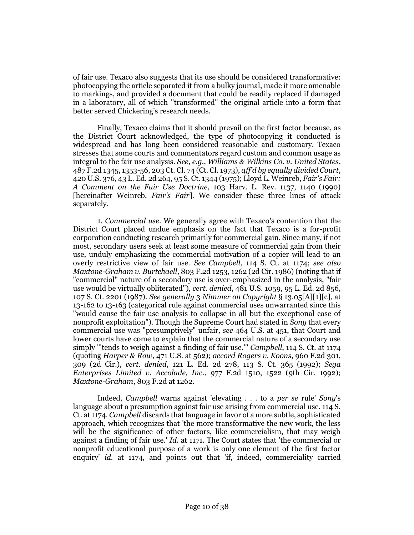of fair use. Texaco also suggests that its use should be considered transformative: photocopying the article separated it from a bulky journal, made it more amenable to markings, and provided a document that could be readily replaced if damaged in a laboratory, all of which "transformed" the original article into a form that better served Chickering's research needs.

Finally, Texaco claims that it should prevail on the first factor because, as the District Court acknowledged, the type of photocopying it conducted is widespread and has long been considered reasonable and customary. Texaco stresses that some courts and commentators regard custom and common usage as integral to the fair use analysis. *See*, *e.g.*, *Williams & Wilkins Co. v. United States*, 487 F.2d 1345, 1353-56, 203 Ct. Cl. 74 (Ct. Cl. 1973), *aff'd by equally divided Court*, 420 U.S. 376, 43 L. Ed. 2d 264, 95 S. Ct. 1344 (1975); Lloyd L. Weinreb, *Fair's Fair: A Comment on the Fair Use Doctrine*, 103 Harv. L. Rev. 1137, 1140 (1990) [hereinafter Weinreb, *Fair's Fair*]. We consider these three lines of attack separately.

1. *Commercial use*. We generally agree with Texaco's contention that the District Court placed undue emphasis on the fact that Texaco is a for-profit corporation conducting research primarily for commercial gain. Since many, if not most, secondary users seek at least some measure of commercial gain from their use, unduly emphasizing the commercial motivation of a copier will lead to an overly restrictive view of fair use. *See Campbell*, 114 S. Ct. at 1174; *see also Maxtone-Graham v. Burtchaell*, 803 F.2d 1253, 1262 (2d Cir. 1986) (noting that if "commercial" nature of a secondary use is over-emphasized in the analysis, "fair use would be virtually obliterated"), *cert. denied*, 481 U.S. 1059, 95 L. Ed. 2d 856, 107 S. Ct. 2201 (1987). *See generally* 3 *Nimmer on Copyright* § 13.05[A][1][c], at 13-162 to 13-163 (categorical rule against commercial uses unwarranted since this "would cause the fair use analysis to collapse in all but the exceptional case of nonprofit exploitation"). Though the Supreme Court had stated in *Sony* that every commercial use was "presumptively" unfair, *see* 464 U.S. at 451, that Court and lower courts have come to explain that the commercial nature of a secondary use simply "'tends to weigh against a finding of fair use.'" *Campbell*, 114 S. Ct. at 1174 (quoting *Harper & Row*, 471 U.S. at 562); *accord Rogers v. Koons*, 960 F.2d 301, 309 (2d Cir.), *cert. denied*, 121 L. Ed. 2d 278, 113 S. Ct. 365 (1992); *Sega Enterprises Limited v. Accolade, Inc.*, 977 F.2d 1510, 1522 (9th Cir. 1992); *Maxtone-Graham*, 803 F.2d at 1262.

Indeed, *Campbell* warns against 'elevating . . . to a *per se* rule' *Sony*'s language about a presumption against fair use arising from commercial use. 114 S. Ct. at 1174. *Campbell* discards that language in favor of a more subtle, sophisticated approach, which recognizes that 'the more transformative the new work, the less will be the significance of other factors, like commercialism, that may weigh against a finding of fair use.' *Id.* at 1171. The Court states that 'the commercial or nonprofit educational purpose of a work is only one element of the first factor enquiry' *id.* at 1174, and points out that 'if, indeed, commerciality carried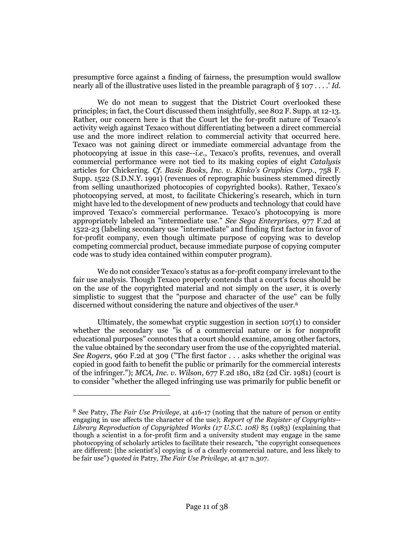presumptive force against a finding of fairness, the presumption would swallow nearly all of the illustrative uses listed in the preamble paragraph of § 107 . . . .' *Id.*

We do not mean to suggest that the District Court overlooked these principles; in fact, the Court discussed them insightfully, see 802 F. Supp. at 12-13. Rather, our concern here is that the Court let the for-profit nature of Texaco's activity weigh against Texaco without differentiating between a direct commercial use and the more indirect relation to commercial activity that occurred here. Texaco was not gaining direct or immediate commercial advantage from the photocopying at issue in this case--*i.e.*, Texaco's profits, revenues, and overall commercial performance were not tied to its making copies of eight *Catalysis* articles for Chickering. *Cf. Basic Books, Inc. v. Kinko's Graphics Corp.*, 758 F. Supp. 1522 (S.D.N.Y. 1991) (revenues of reprographic business stemmed directly from selling unauthorized photocopies of copyrighted books). Rather, Texaco's photocopying served, at most, to facilitate Chickering's research, which in turn might have led to the development of new products and technology that could have improved Texaco's commercial performance. Texaco's photocopying is more appropriately labeled an "intermediate use." *See Sega Enterprises*, 977 F.2d at 1522-23 (labeling secondary use "intermediate" and finding first factor in favor of for-profit company, even though ultimate purpose of copying was to develop competing commercial product, because immediate purpose of copying computer code was to study idea contained within computer program).

We do not consider Texaco's status as a for-profit company irrelevant to the fair use analysis. Though Texaco properly contends that a court's focus should be on the *use* of the copyrighted material and not simply on the *user*, it is overly simplistic to suggest that the "purpose and character of the use" can be fully discerned without considering the nature and objectives of the user.<sup>8</sup>

Ultimately, the somewhat cryptic suggestion in section  $107(1)$  to consider whether the secondary use "is of a commercial nature or is for nonprofit educational purposes" connotes that a court should examine, among other factors, the value obtained by the secondary user from the use of the copyrighted material. *See Rogers*, 960 F.2d at 309 ("The first factor . . . asks whether the original was copied in good faith to benefit the public or primarily for the commercial interests of the infringer."); *MCA, Inc. v. Wilson*, 677 F.2d 180, 182 (2d Cir. 1981) (court is to consider "whether the alleged infringing use was primarily for public benefit or

<sup>8</sup> *See* Patry, *The Fair Use Privilege*, at 416-17 (noting that the nature of person or entity engaging in use affects the character of the use); *Report of the Register of Copyrights-- Library Reproduction of Copyrighted Works (17 U.S.C. 108)* 85 (1983) (explaining that though a scientist in a for-profit firm and a university student may engage in the same photocopying of scholarly articles to facilitate their research, "the copyright consequences are different: [the scientist's] copying is of a clearly commercial nature, and less likely to be fair use") *quoted in* Patry, *The Fair Use Privilege*, at 417 n.307.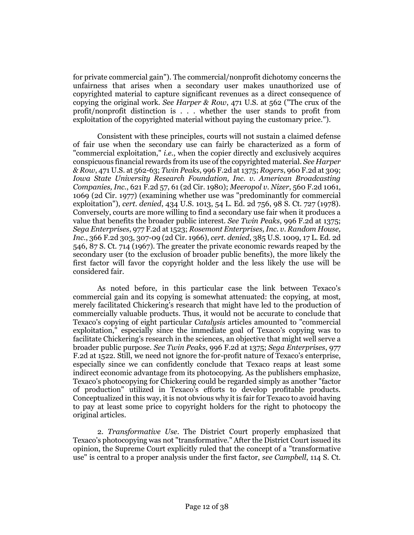for private commercial gain"). The commercial/nonprofit dichotomy concerns the unfairness that arises when a secondary user makes unauthorized use of copyrighted material to capture significant revenues as a direct consequence of copying the original work. *See Harper & Row*, 471 U.S. at 562 ("The crux of the profit/nonprofit distinction is . . . whether the user stands to profit from exploitation of the copyrighted material without paying the customary price.").

Consistent with these principles, courts will not sustain a claimed defense of fair use when the secondary use can fairly be characterized as a form of "commercial exploitation," *i.e.*, when the copier directly and exclusively acquires conspicuous financial rewards from its use of the copyrighted material. *See Harper & Row*, 471 U.S. at 562-63; *Twin Peaks*, 996 F.2d at 1375; *Rogers*, 960 F.2d at 309; *Iowa State University Research Foundation, Inc. v. American Broadcasting Companies, Inc.*, 621 F.2d 57, 61 (2d Cir. 1980); *Meeropol v. Nizer*, 560 F.2d 1061, 1069 (2d Cir. 1977) (examining whether use was "predominantly for commercial exploitation"), *cert. denied*, 434 U.S. 1013, 54 L. Ed. 2d 756, 98 S. Ct. 727 (1978). Conversely, courts are more willing to find a secondary use fair when it produces a value that benefits the broader public interest. *See Twin Peaks*, 996 F.2d at 1375; *Sega Enterprises*, 977 F.2d at 1523; *Rosemont Enterprises, Inc. v. Random House, Inc.*, 366 F.2d 303, 307-09 (2d Cir. 1966), *cert. denied*, 385 U.S. 1009, 17 L. Ed. 2d 546, 87 S. Ct. 714 (1967). The greater the private economic rewards reaped by the secondary user (to the exclusion of broader public benefits), the more likely the first factor will favor the copyright holder and the less likely the use will be considered fair.

As noted before, in this particular case the link between Texaco's commercial gain and its copying is somewhat attenuated: the copying, at most, merely facilitated Chickering's research that might have led to the production of commercially valuable products. Thus, it would not be accurate to conclude that Texaco's copying of eight particular *Catalysis* articles amounted to "commercial exploitation," especially since the immediate goal of Texaco's copying was to facilitate Chickering's research in the sciences, an objective that might well serve a broader public purpose. *See Twin Peaks*, 996 F.2d at 1375; *Sega Enterprises*, 977 F.2d at 1522. Still, we need not ignore the for-profit nature of Texaco's enterprise, especially since we can confidently conclude that Texaco reaps at least some indirect economic advantage from its photocopying. As the publishers emphasize, Texaco's photocopying for Chickering could be regarded simply as another "factor of production" utilized in Texaco's efforts to develop profitable products. Conceptualized in this way, it is not obvious why it is fair for Texaco to avoid having to pay at least some price to copyright holders for the right to photocopy the original articles.

2. *Transformative Use*. The District Court properly emphasized that Texaco's photocopying was not "transformative." After the District Court issued its opinion, the Supreme Court explicitly ruled that the concept of a "transformative use" is central to a proper analysis under the first factor, *see Campbell*, 114 S. Ct.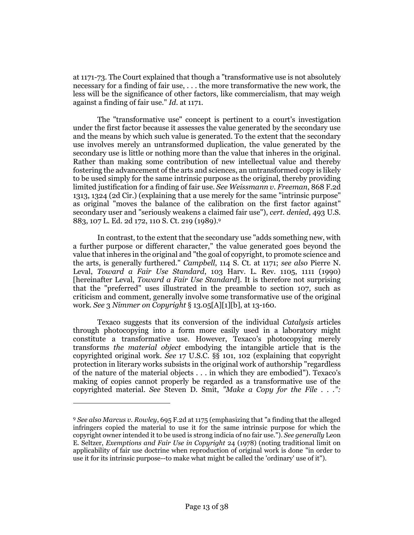at 1171-73. The Court explained that though a "transformative use is not absolutely necessary for a finding of fair use, . . . the more transformative the new work, the less will be the significance of other factors, like commercialism, that may weigh against a finding of fair use." *Id.* at 1171.

The "transformative use" concept is pertinent to a court's investigation under the first factor because it assesses the value generated by the secondary use and the means by which such value is generated. To the extent that the secondary use involves merely an untransformed duplication, the value generated by the secondary use is little or nothing more than the value that inheres in the original. Rather than making some contribution of new intellectual value and thereby fostering the advancement of the arts and sciences, an untransformed copy is likely to be used simply for the same intrinsic purpose as the original, thereby providing limited justification for a finding of fair use. *See Weissmann v. Freeman*, 868 F.2d 1313, 1324 (2d Cir.) (explaining that a use merely for the same "intrinsic purpose" as original "moves the balance of the calibration on the first factor against" secondary user and "seriously weakens a claimed fair use"), *cert. denied*, 493 U.S. 883, 107 L. Ed. 2d 172, 110 S. Ct. 219 (1989).<sup>9</sup>

In contrast, to the extent that the secondary use "adds something new, with a further purpose or different character," the value generated goes beyond the value that inheres in the original and "the goal of copyright, to promote science and the arts, is generally furthered." *Campbell*, 114 S. Ct. at 1171; *see also* Pierre N. Leval, *Toward a Fair Use Standard*, 103 Harv. L. Rev. 1105, 1111 (1990) [hereinafter Leval, *Toward a Fair Use Standard*]. It is therefore not surprising that the "preferred" uses illustrated in the preamble to section 107, such as criticism and comment, generally involve some transformative use of the original work. *See* 3 *Nimmer on Copyright* § 13.05[A][1][b], at 13-160.

Texaco suggests that its conversion of the individual *Catalysis* articles through photocopying into a form more easily used in a laboratory might constitute a transformative use. However, Texaco's photocopying merely transforms *the material object* embodying the intangible article that is the copyrighted original work. *See* 17 U.S.C. §§ 101, 102 (explaining that copyright protection in literary works subsists in the original work of authorship "regardless of the nature of the material objects . . . in which they are embodied"). Texaco's making of copies cannot properly be regarded as a transformative use of the copyrighted material. *See* Steven D. Smit, *"Make a Copy for the File . . .":* 

<sup>9</sup> *See also Marcus v. Rowley*, 695 F.2d at 1175 (emphasizing that "a finding that the alleged infringers copied the material to use it for the same intrinsic purpose for which the copyright owner intended it to be used is strong indicia of no fair use."). *See generally* Leon E. Seltzer, *Exemptions and Fair Use in Copyright* 24 (1978) (noting traditional limit on applicability of fair use doctrine when reproduction of original work is done "in order to use it for its intrinsic purpose--to make what might be called the 'ordinary' use of it").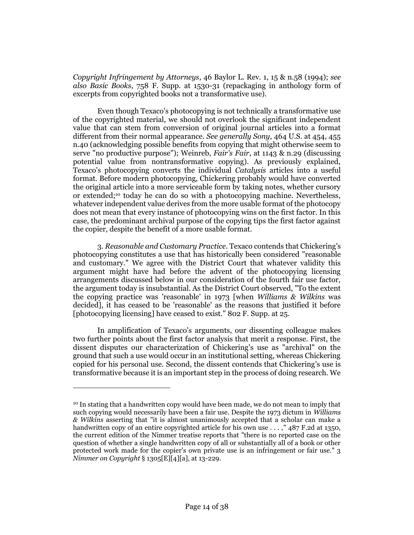*Copyright Infringement by Attorneys*, 46 Baylor L. Rev. 1, 15 & n.58 (1994); *see also Basic Books*, 758 F. Supp. at 1530-31 (repackaging in anthology form of excerpts from copyrighted books not a transformative use).

Even though Texaco's photocopying is not technically a transformative use of the copyrighted material, we should not overlook the significant independent value that can stem from conversion of original journal articles into a format different from their normal appearance. *See generally Sony*, 464 U.S. at 454, 455 n.40 (acknowledging possible benefits from copying that might otherwise seem to serve "no productive purpose"); Weinreb, *Fair's Fair*, at 1143 & n.29 (discussing potential value from nontransformative copying). As previously explained, Texaco's photocopying converts the individual *Catalysis* articles into a useful format. Before modern photocopying, Chickering probably would have converted the original article into a more serviceable form by taking notes, whether cursory or extended;<sup>10</sup> today he can do so with a photocopying machine. Nevertheless, whatever independent value derives from the more usable format of the photocopy does not mean that every instance of photocopying wins on the first factor. In this case, the predominant archival purpose of the copying tips the first factor against the copier, despite the benefit of a more usable format.

3. *Reasonable and Customary Practice*. Texaco contends that Chickering's photocopying constitutes a use that has historically been considered "reasonable and customary." We agree with the District Court that whatever validity this argument might have had before the advent of the photocopying licensing arrangements discussed below in our consideration of the fourth fair use factor, the argument today is insubstantial. As the District Court observed, "To the extent the copying practice was 'reasonable' in 1973 [when *Williams & Wilkins* was decided], it has ceased to be 'reasonable' as the reasons that justified it before [photocopying licensing] have ceased to exist." 802 F. Supp. at 25.

In amplification of Texaco's arguments, our dissenting colleague makes two further points about the first factor analysis that merit a response. First, the dissent disputes our characterization of Chickering's use as "archival" on the ground that such a use would occur in an institutional setting, whereas Chickering copied for his personal use. Second, the dissent contends that Chickering's use is transformative because it is an important step in the process of doing research. We

<sup>&</sup>lt;sup>10</sup> In stating that a handwritten copy would have been made, we do not mean to imply that such copying would necessarily have been a fair use. Despite the 1973 dictum in *Williams & Wilkins* asserting that "it is almost unanimously accepted that a scholar can make a handwritten copy of an entire copyrighted article for his own use  $\dots$ ," 487 F.2d at 1350, the current edition of the Nimmer treatise reports that "there is no reported case on the question of whether a single handwritten copy of all or substantially all of a book or other protected work made for the copier's own private use is an infringement or fair use." 3 *Nimmer on Copyright* § 1305[E][4][a], at 13-229.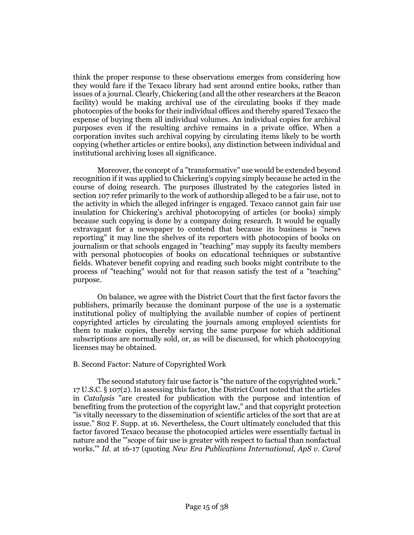think the proper response to these observations emerges from considering how they would fare if the Texaco library had sent around entire books, rather than issues of a journal. Clearly, Chickering (and all the other researchers at the Beacon facility) would be making archival use of the circulating books if they made photocopies of the books for their individual offices and thereby spared Texaco the expense of buying them all individual volumes. An individual copies for archival purposes even if the resulting archive remains in a private office. When a corporation invites such archival copying by circulating items likely to be worth copying (whether articles or entire books), any distinction between individual and institutional archiving loses all significance.

Moreover, the concept of a "transformative" use would be extended beyond recognition if it was applied to Chickering's copying simply because he acted in the course of doing research. The purposes illustrated by the categories listed in section 107 refer primarily to the work of authorship alleged to be a fair use, not to the activity in which the alleged infringer is engaged. Texaco cannot gain fair use insulation for Chickering's archival photocopying of articles (or books) simply because such copying is done by a company doing research. It would be equally extravagant for a newspaper to contend that because its business is "news reporting" it may line the shelves of its reporters with photocopies of books on journalism or that schools engaged in "teaching" may supply its faculty members with personal photocopies of books on educational techniques or substantive fields. Whatever benefit copying and reading such books might contribute to the process of "teaching" would not for that reason satisfy the test of a "teaching" purpose.

On balance, we agree with the District Court that the first factor favors the publishers, primarily because the dominant purpose of the use is a systematic institutional policy of multiplying the available number of copies of pertinent copyrighted articles by circulating the journals among employed scientists for them to make copies, thereby serving the same purpose for which additional subscriptions are normally sold, or, as will be discussed, for which photocopying licenses may be obtained.

## B. Second Factor: Nature of Copyrighted Work

The second statutory fair use factor is "the nature of the copyrighted work." 17 U.S.C. § 107(2). In assessing this factor, the District Court noted that the articles in *Catalysis* "are created for publication with the purpose and intention of benefiting from the protection of the copyright law," and that copyright protection "is vitally necessary to the dissemination of scientific articles of the sort that are at issue." 802 F. Supp. at 16. Nevertheless, the Court ultimately concluded that this factor favored Texaco because the photocopied articles were essentially factual in nature and the "'scope of fair use is greater with respect to factual than nonfactual works.'" *Id.* at 16-17 (quoting *New Era Publications International, ApS v. Carol*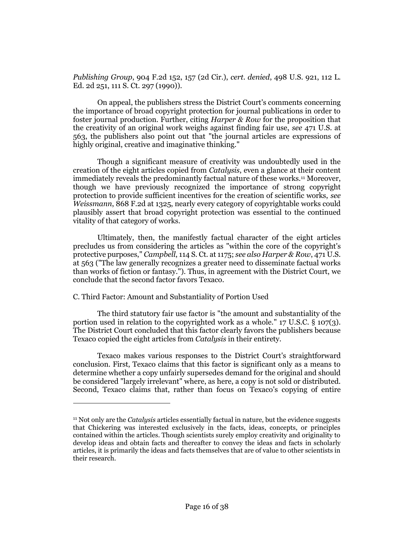*Publishing Group*, 904 F.2d 152, 157 (2d Cir.), *cert. denied*, 498 U.S. 921, 112 L. Ed. 2d 251, 111 S. Ct. 297 (1990)).

On appeal, the publishers stress the District Court's comments concerning the importance of broad copyright protection for journal publications in order to foster journal production. Further, citing *Harper & Row* for the proposition that the creativity of an original work weighs against finding fair use, *see* 471 U.S. at 563, the publishers also point out that "the journal articles are expressions of highly original, creative and imaginative thinking."

Though a significant measure of creativity was undoubtedly used in the creation of the eight articles copied from *Catalysis*, even a glance at their content immediately reveals the predominantly factual nature of these works.<sup>11</sup> Moreover, though we have previously recognized the importance of strong copyright protection to provide sufficient incentives for the creation of scientific works, *see Weissmann*, 868 F.2d at 1325, nearly every category of copyrightable works could plausibly assert that broad copyright protection was essential to the continued vitality of that category of works.

Ultimately, then, the manifestly factual character of the eight articles precludes us from considering the articles as "within the core of the copyright's protective purposes," *Campbell*, 114 S. Ct. at 1175; *see also Harper & Row*, 471 U.S. at 563 ("The law generally recognizes a greater need to disseminate factual works than works of fiction or fantasy."). Thus, in agreement with the District Court, we conclude that the second factor favors Texaco.

## C. Third Factor: Amount and Substantiality of Portion Used

 $\overline{a}$ 

The third statutory fair use factor is "the amount and substantiality of the portion used in relation to the copyrighted work as a whole." 17 U.S.C. § 107(3). The District Court concluded that this factor clearly favors the publishers because Texaco copied the eight articles from *Catalysis* in their entirety.

Texaco makes various responses to the District Court's straightforward conclusion. First, Texaco claims that this factor is significant only as a means to determine whether a copy unfairly supersedes demand for the original and should be considered "largely irrelevant" where, as here, a copy is not sold or distributed. Second, Texaco claims that, rather than focus on Texaco's copying of entire

<sup>11</sup> Not only are the *Catalysis* articles essentially factual in nature, but the evidence suggests that Chickering was interested exclusively in the facts, ideas, concepts, or principles contained within the articles. Though scientists surely employ creativity and originality to develop ideas and obtain facts and thereafter to convey the ideas and facts in scholarly articles, it is primarily the ideas and facts themselves that are of value to other scientists in their research.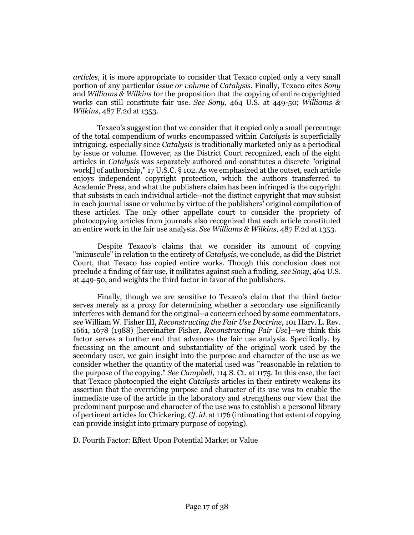*articles*, it is more appropriate to consider that Texaco copied only a very small portion of any particular *issue or volume* of *Catalysis*. Finally, Texaco cites *Sony* and *Williams & Wilkins* for the proposition that the copying of entire copyrighted works can still constitute fair use. *See Sony*, 464 U.S. at 449-50; *Williams & Wilkins*, 487 F.2d at 1353.

Texaco's suggestion that we consider that it copied only a small percentage of the total compendium of works encompassed within *Catalysis* is superficially intriguing, especially since *Catalysis* is traditionally marketed only as a periodical by issue or volume. However, as the District Court recognized, each of the eight articles in *Catalysis* was separately authored and constitutes a discrete "original work[] of authorship," 17 U.S.C. § 102. As we emphasized at the outset, each article enjoys independent copyright protection, which the authors transferred to Academic Press, and what the publishers claim has been infringed is the copyright that subsists in each individual article--not the distinct copyright that may subsist in each journal issue or volume by virtue of the publishers' original compilation of these articles. The only other appellate court to consider the propriety of photocopying articles from journals also recognized that each article constituted an entire work in the fair use analysis. *See Williams & Wilkins*, 487 F.2d at 1353.

Despite Texaco's claims that we consider its amount of copying "minuscule" in relation to the entirety of *Catalysis*, we conclude, as did the District Court, that Texaco has copied entire works. Though this conclusion does not preclude a finding of fair use, it militates against such a finding, *see Sony*, 464 U.S. at 449-50, and weights the third factor in favor of the publishers.

Finally, though we are sensitive to Texaco's claim that the third factor serves merely as a proxy for determining whether a secondary use significantly interferes with demand for the original--a concern echoed by some commentators, *see* William W. Fisher III, *Reconstructing the Fair Use Doctrine*, 101 Harv. L. Rev. 1661, 1678 (1988) [hereinafter Fisher, *Reconstructing Fair Use*]--we think this factor serves a further end that advances the fair use analysis. Specifically, by focussing on the amount and substantiality of the original work used by the secondary user, we gain insight into the purpose and character of the use as we consider whether the quantity of the material used was "reasonable in relation to the purpose of the copying." *See Campbell*, 114 S. Ct. at 1175. In this case, the fact that Texaco photocopied the eight *Catalysis* articles in their entirety weakens its assertion that the overriding purpose and character of its use was to enable the immediate use of the article in the laboratory and strengthens our view that the predominant purpose and character of the use was to establish a personal library of pertinent articles for Chickering. *Cf. id.* at 1176 (intimating that extent of copying can provide insight into primary purpose of copying).

D. Fourth Factor: Effect Upon Potential Market or Value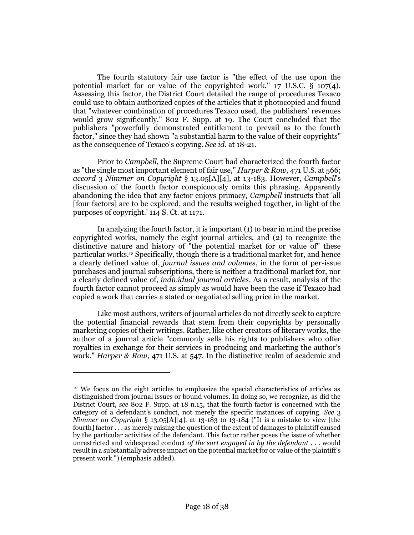The fourth statutory fair use factor is "the effect of the use upon the potential market for or value of the copyrighted work."  $17 \text{ U.S.C.}$  §  $107(4)$ . Assessing this factor, the District Court detailed the range of procedures Texaco could use to obtain authorized copies of the articles that it photocopied and found that "whatever combination of procedures Texaco used, the publishers' revenues would grow significantly." 802 F. Supp. at 19. The Court concluded that the publishers "powerfully demonstrated entitlement to prevail as to the fourth factor," since they had shown "a substantial harm to the value of their copyrights" as the consequence of Texaco's copying. *See id.* at 18-21.

Prior to *Campbell*, the Supreme Court had characterized the fourth factor as "the single most important element of fair use," *Harper & Row*, 471 U.S. at 566; *accord* 3 *Nimmer on Copyright* § 13.05[A][4], at 13-183. However, *Campbell*'s discussion of the fourth factor conspicuously omits this phrasing. Apparently abandoning the idea that any factor enjoys primacy, *Campbell* instructs that 'all [four factors] are to be explored, and the results weighed together, in light of the purposes of copyright.' 114 S. Ct. at 1171.

In analyzing the fourth factor, it is important (1) to bear in mind the precise copyrighted works, namely the eight journal articles, and (2) to recognize the distinctive nature and history of "the potential market for or value of" these particular works.<sup>12</sup> Specifically, though there is a traditional market for, and hence a clearly defined value of, *journal issues and volumes*, in the form of per-issue purchases and journal subscriptions, there is neither a traditional market for, nor a clearly defined value of, *individual journal articles*. As a result, analysis of the fourth factor cannot proceed as simply as would have been the case if Texaco had copied a work that carries a stated or negotiated selling price in the market.

Like most authors, writers of journal articles do not directly seek to capture the potential financial rewards that stem from their copyrights by personally marketing copies of their writings. Rather, like other creators of literary works, the author of a journal article "commonly sells his rights to publishers who offer royalties in exchange for their services in producing and marketing the author's work." *Harper & Row*, 471 U.S. at 547. In the distinctive realm of academic and

<sup>12</sup> We focus on the eight articles to emphasize the special characteristics of articles as distinguished from journal issues or bound volumes. In doing so, we recognize, as did the District Court, *see* 802 F. Supp. at 18 n.15, that the fourth factor is concerned with the category of a defendant's conduct, not merely the specific instances of copying. *See* 3 *Nimmer on Copyright* § 13.05[A][4], at 13-183 to 13-184 ("It is a mistake to view [the fourth] factor . . . as merely raising the question of the extent of damages to plaintiff caused by the particular activities of the defendant. This factor rather poses the issue of whether unrestricted and widespread conduct *of the sort engaged in by the defendant* . . . would result in a substantially adverse impact on the potential market for or value of the plaintiff's present work.") (emphasis added).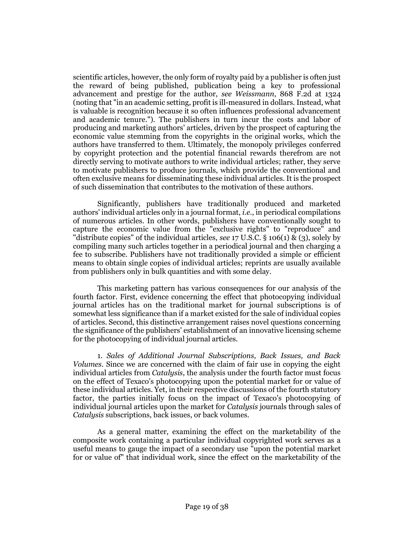scientific articles, however, the only form of royalty paid by a publisher is often just the reward of being published, publication being a key to professional advancement and prestige for the author, *see Weissmann*, 868 F.2d at 1324 (noting that "in an academic setting, profit is ill-measured in dollars. Instead, what is valuable is recognition because it so often influences professional advancement and academic tenure."). The publishers in turn incur the costs and labor of producing and marketing authors' articles, driven by the prospect of capturing the economic value stemming from the copyrights in the original works, which the authors have transferred to them. Ultimately, the monopoly privileges conferred by copyright protection and the potential financial rewards therefrom are not directly serving to motivate authors to write individual articles; rather, they serve to motivate publishers to produce journals, which provide the conventional and often exclusive means for disseminating these individual articles. It is the prospect of such dissemination that contributes to the motivation of these authors.

Significantly, publishers have traditionally produced and marketed authors' individual articles only in a journal format, *i.e.*, in periodical compilations of numerous articles. In other words, publishers have conventionally sought to capture the economic value from the "exclusive rights" to "reproduce" and "distribute copies" of the individual articles, *see* 17 U.S.C. § 106(1) & (3), solely by compiling many such articles together in a periodical journal and then charging a fee to subscribe. Publishers have not traditionally provided a simple or efficient means to obtain single copies of individual articles; reprints are usually available from publishers only in bulk quantities and with some delay.

This marketing pattern has various consequences for our analysis of the fourth factor. First, evidence concerning the effect that photocopying individual journal articles has on the traditional market for journal subscriptions is of somewhat less significance than if a market existed for the sale of individual copies of articles. Second, this distinctive arrangement raises novel questions concerning the significance of the publishers' establishment of an innovative licensing scheme for the photocopying of individual journal articles.

1. *Sales of Additional Journal Subscriptions, Back Issues, and Back Volumes*. Since we are concerned with the claim of fair use in copying the eight individual articles from *Catalysis*, the analysis under the fourth factor must focus on the effect of Texaco's photocopying upon the potential market for or value of these individual articles. Yet, in their respective discussions of the fourth statutory factor, the parties initially focus on the impact of Texaco's photocopying of individual journal articles upon the market for *Catalysis* journals through sales of *Catalysis* subscriptions, back issues, or back volumes.

As a general matter, examining the effect on the marketability of the composite work containing a particular individual copyrighted work serves as a useful means to gauge the impact of a secondary use "upon the potential market for or value of" that individual work, since the effect on the marketability of the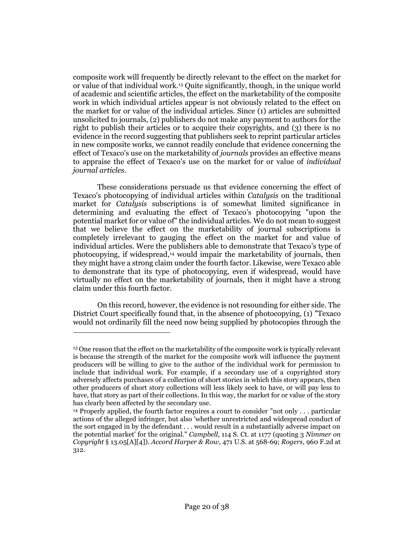composite work will frequently be directly relevant to the effect on the market for or value of that individual work.<sup>13</sup> Quite significantly, though, in the unique world of academic and scientific articles, the effect on the marketability of the composite work in which individual articles appear is not obviously related to the effect on the market for or value of the individual articles. Since (1) articles are submitted unsolicited to journals, (2) publishers do not make any payment to authors for the right to publish their articles or to acquire their copyrights, and (3) there is no evidence in the record suggesting that publishers seek to reprint particular articles in new composite works, we cannot readily conclude that evidence concerning the effect of Texaco's use on the marketability of *journals* provides an effective means to appraise the effect of Texaco's use on the market for or value of *individual journal articles*.

These considerations persuade us that evidence concerning the effect of Texaco's photocopying of individual articles within *Catalysis* on the traditional market for *Catalysis* subscriptions is of somewhat limited significance in determining and evaluating the effect of Texaco's photocopying "upon the potential market for or value of" the individual articles. We do not mean to suggest that we believe the effect on the marketability of journal subscriptions is completely irrelevant to gauging the effect on the market for and value of individual articles. Were the publishers able to demonstrate that Texaco's type of photocopying, if widespread,<sup>14</sup> would impair the marketability of journals, then they might have a strong claim under the fourth factor. Likewise, were Texaco able to demonstrate that its type of photocopying, even if widespread, would have virtually no effect on the marketability of journals, then it might have a strong claim under this fourth factor.

On this record, however, the evidence is not resounding for either side. The District Court specifically found that, in the absence of photocopying, (1) "Texaco would not ordinarily fill the need now being supplied by photocopies through the

<sup>&</sup>lt;sup>13</sup> One reason that the effect on the marketability of the composite work is typically relevant is because the strength of the market for the composite work will influence the payment producers will be willing to give to the author of the individual work for permission to include that individual work. For example, if a secondary use of a copyrighted story adversely affects purchases of a collection of short stories in which this story appears, then other producers of short story collections will less likely seek to have, or will pay less to have, that story as part of their collections. In this way, the market for or value of the story has clearly been affected by the secondary use.

<sup>&</sup>lt;sup>14</sup> Properly applied, the fourth factor requires a court to consider "not only  $\dots$  particular actions of the alleged infringer, but also 'whether unrestricted and widespread conduct of the sort engaged in by the defendant . . . would result in a substantially adverse impact on the potential market' for the original." *Campbell*, 114 S. Ct. at 1177 (quoting 3 *Nimmer on Copyright* § 13.05[A][4]). *Accord Harper & Row*, 471 U.S. at 568-69; *Rogers*, 960 F.2d at 312.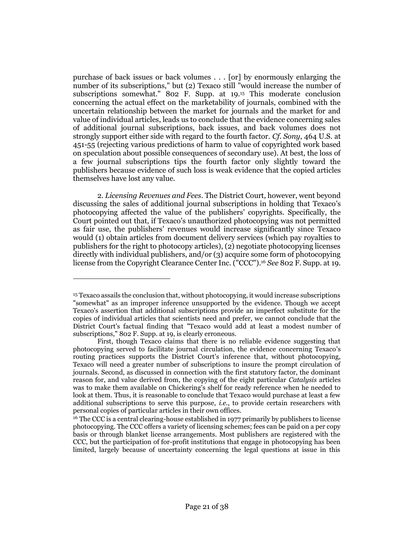purchase of back issues or back volumes . . . [or] by enormously enlarging the number of its subscriptions," but (2) Texaco still "would increase the number of subscriptions somewhat." 802 F. Supp. at 19.<sup>15</sup> This moderate conclusion concerning the actual effect on the marketability of journals, combined with the uncertain relationship between the market for journals and the market for and value of individual articles, leads us to conclude that the evidence concerning sales of additional journal subscriptions, back issues, and back volumes does not strongly support either side with regard to the fourth factor. *Cf. Sony*, 464 U.S. at 451-55 (rejecting various predictions of harm to value of copyrighted work based on speculation about possible consequences of secondary use). At best, the loss of a few journal subscriptions tips the fourth factor only slightly toward the publishers because evidence of such loss is weak evidence that the copied articles themselves have lost any value.

2. *Licensing Revenues and Fees*. The District Court, however, went beyond discussing the sales of additional journal subscriptions in holding that Texaco's photocopying affected the value of the publishers' copyrights. Specifically, the Court pointed out that, if Texaco's unauthorized photocopying was not permitted as fair use, the publishers' revenues would increase significantly since Texaco would (1) obtain articles from document delivery services (which pay royalties to publishers for the right to photocopy articles), (2) negotiate photocopying licenses directly with individual publishers, and/or (3) acquire some form of photocopying license from the Copyright Clearance Center Inc. ("CCC").<sup>16</sup> *See* 802 F. Supp. at 19.

<sup>15</sup> Texaco assails the conclusion that, without photocopying, it would increase subscriptions "somewhat" as an improper inference unsupported by the evidence. Though we accept Texaco's assertion that additional subscriptions provide an imperfect substitute for the copies of individual articles that scientists need and prefer, we cannot conclude that the District Court's factual finding that "Texaco would add at least a modest number of subscriptions," 802 F. Supp. at 19, is clearly erroneous.

First, though Texaco claims that there is no reliable evidence suggesting that photocopying served to facilitate journal circulation, the evidence concerning Texaco's routing practices supports the District Court's inference that, without photocopying, Texaco will need a greater number of subscriptions to insure the prompt circulation of journals. Second, as discussed in connection with the first statutory factor, the dominant reason for, and value derived from, the copying of the eight particular *Catalysis* articles was to make them available on Chickering's shelf for ready reference when he needed to look at them. Thus, it is reasonable to conclude that Texaco would purchase at least a few additional subscriptions to serve this purpose, *i.e.*, to provide certain researchers with personal copies of particular articles in their own offices.

<sup>&</sup>lt;sup>16</sup> The CCC is a central clearing-house established in 1977 primarily by publishers to license photocopying. The CCC offers a variety of licensing schemes; fees can be paid on a per copy basis or through blanket license arrangements. Most publishers are registered with the CCC, but the participation of for-profit institutions that engage in photocopying has been limited, largely because of uncertainty concerning the legal questions at issue in this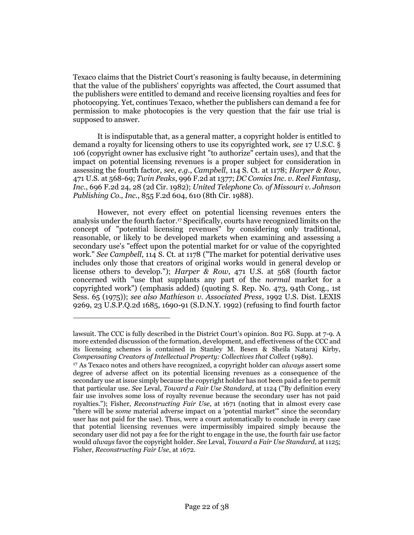Texaco claims that the District Court's reasoning is faulty because, in determining that the value of the publishers' copyrights was affected, the Court assumed that the publishers were entitled to demand and receive licensing royalties and fees for photocopying. Yet, continues Texaco, whether the publishers can demand a fee for permission to make photocopies is the very question that the fair use trial is supposed to answer.

It is indisputable that, as a general matter, a copyright holder is entitled to demand a royalty for licensing others to use its copyrighted work, *see* 17 U.S.C. § 106 (copyright owner has exclusive right "to authorize" certain uses), and that the impact on potential licensing revenues is a proper subject for consideration in assessing the fourth factor, *see*, *e.g.*, *Campbell*, 114 S. Ct. at 1178; *Harper & Row*, 471 U.S. at 568-69; *Twin Peaks*, 996 F.2d at 1377; *DC Comics Inc. v. Reel Fantasy, Inc.*, 696 F.2d 24, 28 (2d Cir. 1982); *United Telephone Co. of Missouri v. Johnson Publishing Co., Inc.*, 855 F.2d 604, 610 (8th Cir. 1988).

However, not every effect on potential licensing revenues enters the analysis under the fourth factor.<sup>17</sup> Specifically, courts have recognized limits on the concept of "potential licensing revenues" by considering only traditional, reasonable, or likely to be developed markets when examining and assessing a secondary use's "effect upon the potential market for or value of the copyrighted work." *See Campbell*, 114 S. Ct. at 1178 ("The market for potential derivative uses includes only those that creators of original works would in general develop or license others to develop."); *Harper & Row*, 471 U.S. at 568 (fourth factor concerned with "use that supplants any part of the *normal* market for a copyrighted work") (emphasis added) (quoting S. Rep. No. 473, 94th Cong., 1st Sess. 65 (1975)); *see also Mathieson v. Associated Press*, 1992 U.S. Dist. LEXIS 9269, 23 U.S.P.Q.2d 1685, 1690-91 (S.D.N.Y. 1992) (refusing to find fourth factor

lawsuit. The CCC is fully described in the District Court's opinion. 802 FG. Supp. at 7-9. A more extended discussion of the formation, development, and effectiveness of the CCC and its licensing schemes is contained in Stanley M. Besen & Sheila Nataraj Kirby, *Compensating Creators of Intellectual Property: Collectives that Collect* (1989).

<sup>17</sup> As Texaco notes and others have recognized, a copyright holder can *always* assert some degree of adverse affect on its potential licensing revenues as a consequence of the secondary use at issue simply because the copyright holder has not been paid a fee to permit that particular use. *See* Leval, *Toward a Fair Use Standard*, at 1124 ("By definition every fair use involves some loss of royalty revenue because the secondary user has not paid royalties."); Fisher, *Reconstructing Fair Use*, at 1671 (noting that in almost every case "there will be *some* material adverse impact on a 'potential market'" since the secondary user has not paid for the use). Thus, were a court automatically to conclude in every case that potential licensing revenues were impermissibly impaired simply because the secondary user did not pay a fee for the right to engage in the use, the fourth fair use factor would *always* favor the copyright holder. *See* Leval, *Toward a Fair Use Standard*, at 1125; Fisher, *Reconstructing Fair Use*, at 1672.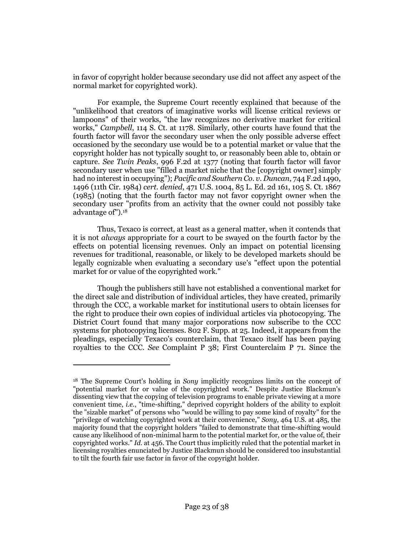in favor of copyright holder because secondary use did not affect any aspect of the normal market for copyrighted work).

For example, the Supreme Court recently explained that because of the "unlikelihood that creators of imaginative works will license critical reviews or lampoons" of their works, "the law recognizes no derivative market for critical works," *Campbell*, 114 S. Ct. at 1178. Similarly, other courts have found that the fourth factor will favor the secondary user when the only possible adverse effect occasioned by the secondary use would be to a potential market or value that the copyright holder has not typically sought to, or reasonably been able to, obtain or capture. *See Twin Peaks*, 996 F.2d at 1377 (noting that fourth factor will favor secondary user when use "filled a market niche that the [copyright owner] simply had no interest in occupying"); *Pacific and Southern Co. v. Duncan*, 744 F.2d 1490, 1496 (11th Cir. 1984) *cert. denied*, 471 U.S. 1004, 85 L. Ed. 2d 161, 105 S. Ct. 1867 (1985) (noting that the fourth factor may not favor copyright owner when the secondary user "profits from an activity that the owner could not possibly take advantage of").<sup>18</sup>

Thus, Texaco is correct, at least as a general matter, when it contends that it is not *always* appropriate for a court to be swayed on the fourth factor by the effects on potential licensing revenues. Only an impact on potential licensing revenues for traditional, reasonable, or likely to be developed markets should be legally cognizable when evaluating a secondary use's "effect upon the potential market for or value of the copyrighted work."

Though the publishers still have not established a conventional market for the direct sale and distribution of individual articles, they have created, primarily through the CCC, a workable market for institutional users to obtain licenses for the right to produce their own copies of individual articles via photocopying. The District Court found that many major corporations now subscribe to the CCC systems for photocopying licenses. 802 F. Supp. at 25. Indeed, it appears from the pleadings, especially Texaco's counterclaim, that Texaco itself has been paying royalties to the CCC. *See* Complaint P 38; First Counterclaim P 71. Since the

<sup>18</sup> The Supreme Court's holding in *Sony* implicitly recognizes limits on the concept of "potential market for or value of the copyrighted work." Despite Justice Blackmun's dissenting view that the copying of television programs to enable private viewing at a more convenient time, *i.e.*, "time-shifting," deprived copyright holders of the ability to exploit the "sizable market" of persons who "would be willing to pay some kind of royalty" for the "privilege of watching copyrighted work at their convenience," *Sony*, 464 U.S. at 485, the majority found that the copyright holders "failed to demonstrate that time-shifting would cause any likelihood of non-minimal harm to the potential market for, or the value of, their copyrighted works." *Id.* at 456. The Court thus implicitly ruled that the potential market in licensing royalties enunciated by Justice Blackmun should be considered too insubstantial to tilt the fourth fair use factor in favor of the copyright holder.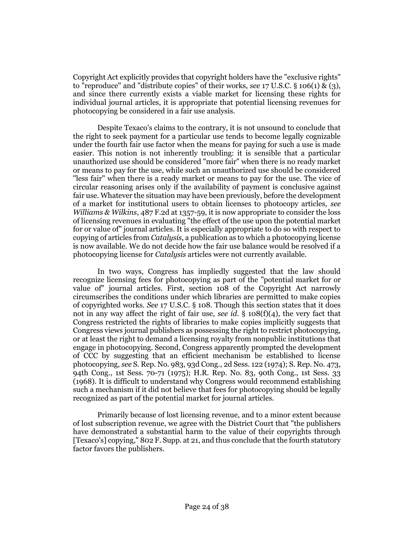Copyright Act explicitly provides that copyright holders have the "exclusive rights" to "reproduce" and "distribute copies" of their works, *see* 17 U.S.C. § 106(1) & (3), and since there currently exists a viable market for licensing these rights for individual journal articles, it is appropriate that potential licensing revenues for photocopying be considered in a fair use analysis.

Despite Texaco's claims to the contrary, it is not unsound to conclude that the right to seek payment for a particular use tends to become legally cognizable under the fourth fair use factor when the means for paying for such a use is made easier. This notion is not inherently troubling: it is sensible that a particular unauthorized use should be considered "more fair" when there is no ready market or means to pay for the use, while such an unauthorized use should be considered "less fair" when there is a ready market or means to pay for the use. The vice of circular reasoning arises only if the availability of payment is conclusive against fair use. Whatever the situation may have been previously, before the development of a market for institutional users to obtain licenses to photocopy articles, *see Williams & Wilkins*, 487 F.2d at 1357-59, it is now appropriate to consider the loss of licensing revenues in evaluating "the effect of the use upon the potential market for or value of" journal articles. It is especially appropriate to do so with respect to copying of articles from *Catalysis*, a publication as to which a photocopying license is now available. We do not decide how the fair use balance would be resolved if a photocopying license for *Catalysis* articles were not currently available.

In two ways, Congress has impliedly suggested that the law should recognize licensing fees for photocopying as part of the "potential market for or value of" journal articles. First, section 108 of the Copyright Act narrowly circumscribes the conditions under which libraries are permitted to make copies of copyrighted works. *See* 17 U.S.C. § 108. Though this section states that it does not in any way affect the right of fair use, *see id.* § 108(f)(4), the very fact that Congress restricted the rights of libraries to make copies implicitly suggests that Congress views journal publishers as possessing the right to restrict photocopying, or at least the right to demand a licensing royalty from nonpublic institutions that engage in photocopying. Second, Congress apparently prompted the development of CCC by suggesting that an efficient mechanism be established to license photocopying, *see* S. Rep. No. 983, 93d Cong., 2d Sess. 122 (1974); S. Rep. No. 473, 94th Cong., 1st Sess. 70-71 (1975); H.R. Rep. No. 83, 90th Cong., 1st Sess. 33 (1968). It is difficult to understand why Congress would recommend establishing such a mechanism if it did not believe that fees for photocopying should be legally recognized as part of the potential market for journal articles.

Primarily because of lost licensing revenue, and to a minor extent because of lost subscription revenue, we agree with the District Court that "the publishers have demonstrated a substantial harm to the value of their copyrights through [Texaco's] copying," 802 F. Supp. at 21, and thus conclude that the fourth statutory factor favors the publishers.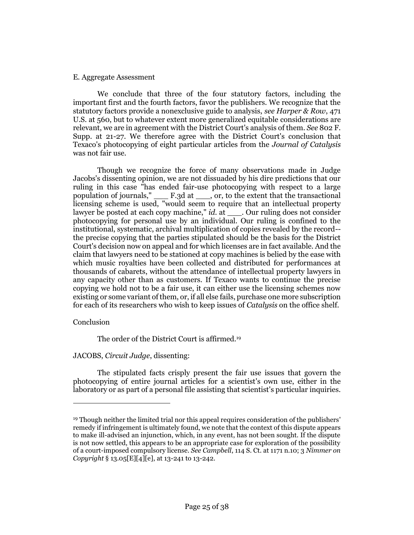#### E. Aggregate Assessment

We conclude that three of the four statutory factors, including the important first and the fourth factors, favor the publishers. We recognize that the statutory factors provide a nonexclusive guide to analysis, *see Harper & Row*, 471 U.S. at 560, but to whatever extent more generalized equitable considerations are relevant, we are in agreement with the District Court's analysis of them. *See* 802 F. Supp. at 21-27. We therefore agree with the District Court's conclusion that Texaco's photocopying of eight particular articles from the *Journal of Catalysis* was not fair use.

Though we recognize the force of many observations made in Judge Jacobs's dissenting opinion, we are not dissuaded by his dire predictions that our ruling in this case "has ended fair-use photocopying with respect to a large population of journals," \_\_\_ F.3d at \_\_\_, or, to the extent that the transactional licensing scheme is used, "would seem to require that an intellectual property lawyer be posted at each copy machine," *id.* at \_\_\_. Our ruling does not consider photocopying for personal use by an individual. Our ruling is confined to the institutional, systematic, archival multiplication of copies revealed by the record- the precise copying that the parties stipulated should be the basis for the District Court's decision now on appeal and for which licenses are in fact available. And the claim that lawyers need to be stationed at copy machines is belied by the ease with which music royalties have been collected and distributed for performances at thousands of cabarets, without the attendance of intellectual property lawyers in any capacity other than as customers. If Texaco wants to continue the precise copying we hold not to be a fair use, it can either use the licensing schemes now existing or some variant of them, or, if all else fails, purchase one more subscription for each of its researchers who wish to keep issues of *Catalysis* on the office shelf.

## Conclusion

 $\overline{a}$ 

The order of the District Court is affirmed.<sup>19</sup>

## JACOBS, *Circuit Judge*, dissenting:

The stipulated facts crisply present the fair use issues that govern the photocopying of entire journal articles for a scientist's own use, either in the laboratory or as part of a personal file assisting that scientist's particular inquiries.

<sup>&</sup>lt;sup>19</sup> Though neither the limited trial nor this appeal requires consideration of the publishers' remedy if infringement is ultimately found, we note that the context of this dispute appears to make ill-advised an injunction, which, in any event, has not been sought. If the dispute is not now settled, this appears to be an appropriate case for exploration of the possibility of a court-imposed compulsory license. *See Campbell*, 114 S. Ct. at 1171 n.10; 3 *Nimmer on Copyright* § 13.05[E][4][e], at 13-241 to 13-242.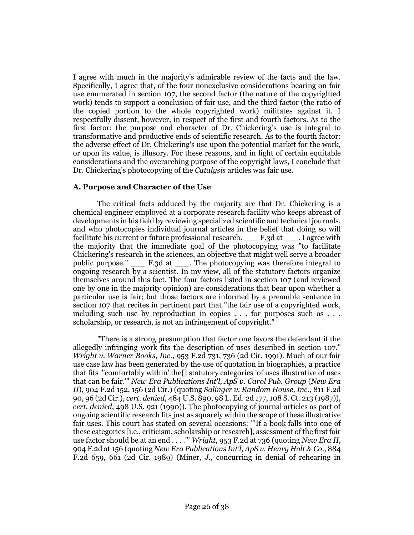I agree with much in the majority's admirable review of the facts and the law. Specifically, I agree that, of the four nonexclusive considerations bearing on fair use enumerated in section 107, the second factor (the nature of the copyrighted work) tends to support a conclusion of fair use, and the third factor (the ratio of the copied portion to the whole copyrighted work) militates against it. I respectfully dissent, however, in respect of the first and fourth factors. As to the first factor: the purpose and character of Dr. Chickering's use is integral to transformative and productive ends of scientific research. As to the fourth factor: the adverse effect of Dr. Chickering's use upon the potential market for the work, or upon its value, is illusory. For these reasons, and in light of certain equitable considerations and the overarching purpose of the copyright laws, I conclude that Dr. Chickering's photocopying of the *Catalysis* articles was fair use.

## **A. Purpose and Character of the Use**

The critical facts adduced by the majority are that Dr. Chickering is a chemical engineer employed at a corporate research facility who keeps abreast of developments in his field by reviewing specialized scientific and technical journals, and who photocopies individual journal articles in the belief that doing so will facilitate his current or future professional research. \_\_\_ F.3d at \_\_\_. I agree with the majority that the immediate goal of the photocopying was "to facilitate Chickering's research in the sciences, an objective that might well serve a broader public purpose." \_\_\_ F.3d at \_\_\_. The photocopying was therefore integral to ongoing research by a scientist. In my view, all of the statutory factors organize themselves around this fact. The four factors listed in section 107 (and reviewed one by one in the majority opinion) are considerations that bear upon whether a particular use is fair; but those factors are informed by a preamble sentence in section 107 that recites in pertinent part that "the fair use of a copyrighted work, including such use by reproduction in copies . . . for purposes such as . . . scholarship, or research, is not an infringement of copyright."

"There is a strong presumption that factor one favors the defendant if the allegedly infringing work fits the description of uses described in section 107." *Wright v. Warner Books, Inc.*, 953 F.2d 731, 736 (2d Cir. 1991). Much of our fair use case law has been generated by the use of quotation in biographies, a practice that fits "'comfortably within' the[] statutory categories 'of uses illustrative of uses that can be fair.'" *New Era Publications Int'l, ApS v. Carol Pub. Group* (*New Era II*), 904 F.2d 152, 156 (2d Cir.) (quoting *Salinger v. Random House, Inc.*, 811 F.2d 90, 96 (2d Cir.), *cert. denied*, 484 U.S. 890, 98 L. Ed. 2d 177, 108 S. Ct. 213 (1987)), *cert. denied*, 498 U.S. 921 (1990)). The photocopying of journal articles as part of ongoing scientific research fits just as squarely within the scope of these illustrative fair uses. This court has stated on several occasions: "'If a book falls into one of these categories [i.e., criticism, scholarship or research], assessment of the first fair use factor should be at an end . . . .'" *Wright*, 953 F.2d at 736 (quoting *New Era II*, 904 F.2d at 156 (quoting *New Era Publications Int'l, ApS v. Henry Holt & Co.*, 884 F.2d 659, 661 (2d Cir. 1989) (Miner, *J.*, concurring in denial of rehearing in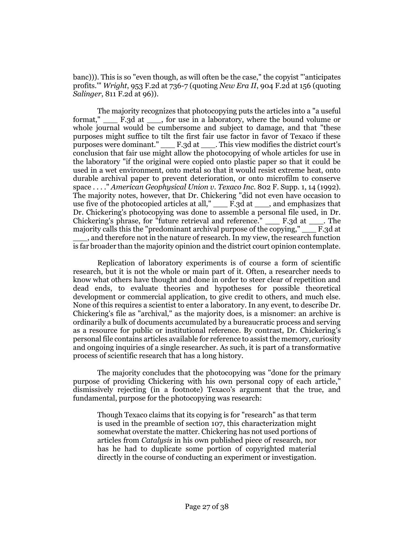banc))). This is so "even though, as will often be the case," the copyist "'anticipates profits.'" *Wright*, 953 F.2d at 736-7 (quoting *New Era II*, 904 F.2d at 156 (quoting *Salinger*, 811 F.2d at 96)).

The majority recognizes that photocopying puts the articles into a "a useful format," \_\_\_ F.3d at \_\_\_, for use in a laboratory, where the bound volume or whole journal would be cumbersome and subject to damage, and that "these purposes might suffice to tilt the first fair use factor in favor of Texaco if these purposes were dominant." \_\_\_ F.3d at \_\_\_. This view modifies the district court's conclusion that fair use might allow the photocopying of whole articles for use in the laboratory "if the original were copied onto plastic paper so that it could be used in a wet environment, onto metal so that it would resist extreme heat, onto durable archival paper to prevent deterioration, or onto microfilm to conserve space . . . ." *American Geophysical Union v. Texaco Inc.* 802 F. Supp. 1, 14 (1992). The majority notes, however, that Dr. Chickering "did not even have occasion to use five of the photocopied articles at all," \_\_\_ F.3d at \_\_\_, and emphasizes that Dr. Chickering's photocopying was done to assemble a personal file used, in Dr. Chickering's phrase, for "future retrieval and reference." \_\_\_ F.3d at \_\_\_. The majority calls this the "predominant archival purpose of the copying," \_\_\_ F.3d at \_\_\_, and therefore not in the nature of research. In my view, the research function is far broader than the majority opinion and the district court opinion contemplate.

Replication of laboratory experiments is of course a form of scientific research, but it is not the whole or main part of it. Often, a researcher needs to know what others have thought and done in order to steer clear of repetition and dead ends, to evaluate theories and hypotheses for possible theoretical development or commercial application, to give credit to others, and much else. None of this requires a scientist to enter a laboratory. In any event, to describe Dr. Chickering's file as "archival," as the majority does, is a misnomer: an archive is ordinarily a bulk of documents accumulated by a bureaucratic process and serving as a resource for public or institutional reference. By contrast, Dr. Chickering's personal file contains articles available for reference to assist the memory, curiosity and ongoing inquiries of a single researcher. As such, it is part of a transformative process of scientific research that has a long history.

The majority concludes that the photocopying was "done for the primary purpose of providing Chickering with his own personal copy of each article," dismissively rejecting (in a footnote) Texaco's argument that the true, and fundamental, purpose for the photocopying was research:

Though Texaco claims that its copying is for "research" as that term is used in the preamble of section 107, this characterization might somewhat overstate the matter. Chickering has not used portions of articles from *Catalysis* in his own published piece of research, nor has he had to duplicate some portion of copyrighted material directly in the course of conducting an experiment or investigation.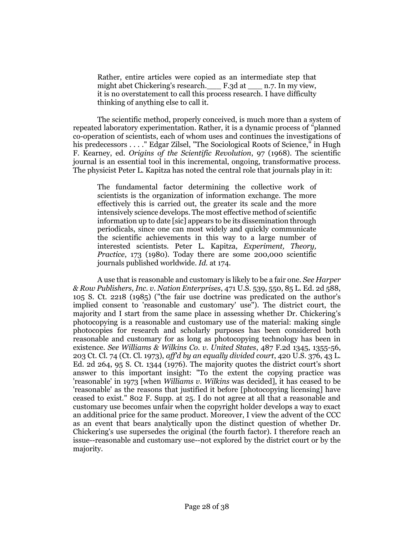Rather, entire articles were copied as an intermediate step that might abet Chickering's research. F.3d at \_\_\_ n.7. In my view, it is no overstatement to call this process research. I have difficulty thinking of anything else to call it.

The scientific method, properly conceived, is much more than a system of repeated laboratory experimentation. Rather, it is a dynamic process of "planned co-operation of scientists, each of whom uses and continues the investigations of his predecessors . . . . " Edgar Zilsel, "The Sociological Roots of Science," in Hugh F. Kearney, ed. *Origins of the Scientific Revolution*, 97 (1968). The scientific journal is an essential tool in this incremental, ongoing, transformative process. The physicist Peter L. Kapitza has noted the central role that journals play in it:

The fundamental factor determining the collective work of scientists is the organization of information exchange. The more effectively this is carried out, the greater its scale and the more intensively science develops. The most effective method of scientific information up to date [sic] appears to be its dissemination through periodicals, since one can most widely and quickly communicate the scientific achievements in this way to a large number of interested scientists. Peter L. Kapitza, *Experiment, Theory, Practice*, 173 (1980). Today there are some 200,000 scientific journals published worldwide. *Id.* at 174.

A use that is reasonable and customary is likely to be a fair one. *See Harper & Row Publishers, Inc. v. Nation Enterprises*, 471 U.S. 539, 550, 85 L. Ed. 2d 588, 105 S. Ct. 2218 (1985) ("the fair use doctrine was predicated on the author's implied consent to 'reasonable and customary' use"). The district court, the majority and I start from the same place in assessing whether Dr. Chickering's photocopying is a reasonable and customary use of the material: making single photocopies for research and scholarly purposes has been considered both reasonable and customary for as long as photocopying technology has been in existence. *See Williams & Wilkins Co. v. United States*, 487 F.2d 1345, 1355-56, 203 Ct. Cl. 74 (Ct. Cl. 1973), *aff'd by an equally divided court*, 420 U.S. 376, 43 L. Ed. 2d 264, 95 S. Ct. 1344 (1976). The majority quotes the district court's short answer to this important insight: "To the extent the copying practice was 'reasonable' in 1973 [when *Williams v. Wilkins* was decided], it has ceased to be 'reasonable' as the reasons that justified it before [photocopying licensing] have ceased to exist." 802 F. Supp. at 25. I do not agree at all that a reasonable and customary use becomes unfair when the copyright holder develops a way to exact an additional price for the same product. Moreover, I view the advent of the CCC as an event that bears analytically upon the distinct question of whether Dr. Chickering's use supersedes the original (the fourth factor). I therefore reach an issue--reasonable and customary use--not explored by the district court or by the majority.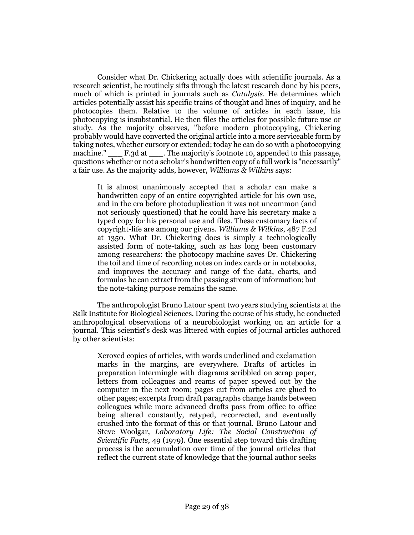Consider what Dr. Chickering actually does with scientific journals. As a research scientist, he routinely sifts through the latest research done by his peers, much of which is printed in journals such as *Catalysis*. He determines which articles potentially assist his specific trains of thought and lines of inquiry, and he photocopies them. Relative to the volume of articles in each issue, his photocopying is insubstantial. He then files the articles for possible future use or study. As the majority observes, "before modern photocopying, Chickering probably would have converted the original article into a more serviceable form by taking notes, whether cursory or extended; today he can do so with a photocopying machine." F.3d at The majority's footnote 10, appended to this passage, questions whether or not a scholar's handwritten copy of a full work is "necessarily" a fair use. As the majority adds, however, *Williams & Wilkins* says:

It is almost unanimously accepted that a scholar can make a handwritten copy of an entire copyrighted article for his own use, and in the era before photoduplication it was not uncommon (and not seriously questioned) that he could have his secretary make a typed copy for his personal use and files. These customary facts of copyright-life are among our givens. *Williams & Wilkins*, 487 F.2d at 1350. What Dr. Chickering does is simply a technologically assisted form of note-taking, such as has long been customary among researchers: the photocopy machine saves Dr. Chickering the toil and time of recording notes on index cards or in notebooks, and improves the accuracy and range of the data, charts, and formulas he can extract from the passing stream of information; but the note-taking purpose remains the same.

The anthropologist Bruno Latour spent two years studying scientists at the Salk Institute for Biological Sciences. During the course of his study, he conducted anthropological observations of a neurobiologist working on an article for a journal. This scientist's desk was littered with copies of journal articles authored by other scientists:

Xeroxed copies of articles, with words underlined and exclamation marks in the margins, are everywhere. Drafts of articles in preparation intermingle with diagrams scribbled on scrap paper, letters from colleagues and reams of paper spewed out by the computer in the next room; pages cut from articles are glued to other pages; excerpts from draft paragraphs change hands between colleagues while more advanced drafts pass from office to office being altered constantly, retyped, recorrected, and eventually crushed into the format of this or that journal. Bruno Latour and Steve Woolgar, *Laboratory Life: The Social Construction of Scientific Facts*, 49 (1979). One essential step toward this drafting process is the accumulation over time of the journal articles that reflect the current state of knowledge that the journal author seeks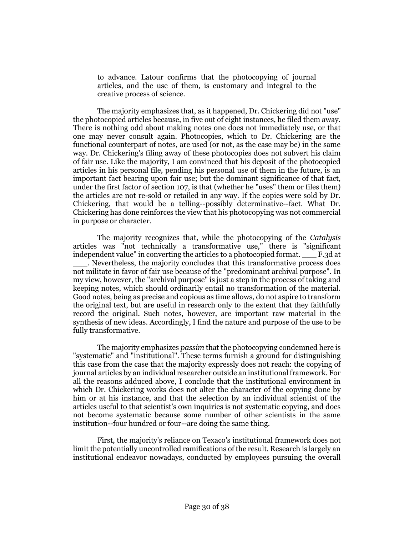to advance. Latour confirms that the photocopying of journal articles, and the use of them, is customary and integral to the creative process of science.

The majority emphasizes that, as it happened, Dr. Chickering did not "use" the photocopied articles because, in five out of eight instances, he filed them away. There is nothing odd about making notes one does not immediately use, or that one may never consult again. Photocopies, which to Dr. Chickering are the functional counterpart of notes, are used (or not, as the case may be) in the same way. Dr. Chickering's filing away of these photocopies does not subvert his claim of fair use. Like the majority, I am convinced that his deposit of the photocopied articles in his personal file, pending his personal use of them in the future, is an important fact bearing upon fair use; but the dominant significance of that fact, under the first factor of section 107, is that (whether he "uses" them or files them) the articles are not re-sold or retailed in any way. If the copies were sold by Dr. Chickering, that would be a telling--possibly determinative--fact. What Dr. Chickering has done reinforces the view that his photocopying was not commercial in purpose or character.

The majority recognizes that, while the photocopying of the *Catalysis* articles was "not technically a transformative use," there is "significant independent value" in converting the articles to a photocopied format. \_\_\_ F.3d at \_\_\_. Nevertheless, the majority concludes that this transformative process does not militate in favor of fair use because of the "predominant archival purpose". In my view, however, the "archival purpose" is just a step in the process of taking and keeping notes, which should ordinarily entail no transformation of the material. Good notes, being as precise and copious as time allows, do not aspire to transform the original text, but are useful in research only to the extent that they faithfully record the original. Such notes, however, are important raw material in the synthesis of new ideas. Accordingly, I find the nature and purpose of the use to be fully transformative.

The majority emphasizes *passim* that the photocopying condemned here is "systematic" and "institutional". These terms furnish a ground for distinguishing this case from the case that the majority expressly does not reach: the copying of journal articles by an individual researcher outside an institutional framework. For all the reasons adduced above, I conclude that the institutional environment in which Dr. Chickering works does not alter the character of the copying done by him or at his instance, and that the selection by an individual scientist of the articles useful to that scientist's own inquiries is not systematic copying, and does not become systematic because some number of other scientists in the same institution--four hundred or four--are doing the same thing.

First, the majority's reliance on Texaco's institutional framework does not limit the potentially uncontrolled ramifications of the result. Research is largely an institutional endeavor nowadays, conducted by employees pursuing the overall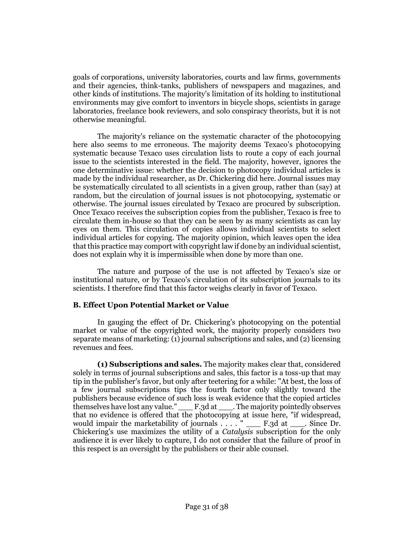goals of corporations, university laboratories, courts and law firms, governments and their agencies, think-tanks, publishers of newspapers and magazines, and other kinds of institutions. The majority's limitation of its holding to institutional environments may give comfort to inventors in bicycle shops, scientists in garage laboratories, freelance book reviewers, and solo conspiracy theorists, but it is not otherwise meaningful.

The majority's reliance on the systematic character of the photocopying here also seems to me erroneous. The majority deems Texaco's photocopying systematic because Texaco uses circulation lists to route a copy of each journal issue to the scientists interested in the field. The majority, however, ignores the one determinative issue: whether the decision to photocopy individual articles is made by the individual researcher, as Dr. Chickering did here. Journal issues may be systematically circulated to all scientists in a given group, rather than (say) at random, but the circulation of journal issues is not photocopying, systematic or otherwise. The journal issues circulated by Texaco are procured by subscription. Once Texaco receives the subscription copies from the publisher, Texaco is free to circulate them in-house so that they can be seen by as many scientists as can lay eyes on them. This circulation of copies allows individual scientists to select individual articles for copying. The majority opinion, which leaves open the idea that this practice may comport with copyright law if done by an individual scientist, does not explain why it is impermissible when done by more than one.

The nature and purpose of the use is not affected by Texaco's size or institutional nature, or by Texaco's circulation of its subscription journals to its scientists. I therefore find that this factor weighs clearly in favor of Texaco.

## **B. Effect Upon Potential Market or Value**

In gauging the effect of Dr. Chickering's photocopying on the potential market or value of the copyrighted work, the majority properly considers two separate means of marketing: (1) journal subscriptions and sales, and (2) licensing revenues and fees.

**(1) Subscriptions and sales.** The majority makes clear that, considered solely in terms of journal subscriptions and sales, this factor is a toss-up that may tip in the publisher's favor, but only after teetering for a while: "At best, the loss of a few journal subscriptions tips the fourth factor only slightly toward the publishers because evidence of such loss is weak evidence that the copied articles themselves have lost any value." \_\_\_ F.3d at \_\_\_. The majority pointedly observes that no evidence is offered that the photocopying at issue here, "if widespread, would impair the marketability of journals . . . . " \_\_\_\_ F.3d at \_\_\_\_. Since Dr. Chickering's use maximizes the utility of a *Catalysis* subscription for the only audience it is ever likely to capture, I do not consider that the failure of proof in this respect is an oversight by the publishers or their able counsel.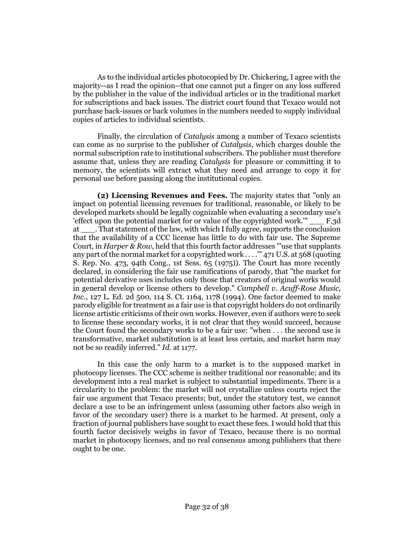As to the individual articles photocopied by Dr. Chickering, I agree with the majority--as I read the opinion--that one cannot put a finger on any loss suffered by the publisher in the value of the individual articles or in the traditional market for subscriptions and back issues. The district court found that Texaco would not purchase back-issues or back volumes in the numbers needed to supply individual copies of articles to individual scientists.

Finally, the circulation of *Catalysis* among a number of Texaco scientists can come as no surprise to the publisher of *Catalysis*, which charges double the normal subscription rate to institutional subscribers. The publisher must therefore assume that, unless they are reading *Catalysis* for pleasure or committing it to memory, the scientists will extract what they need and arrange to copy it for personal use before passing along the institutional copies.

**(2) Licensing Revenues and Fees.** The majority states that "only an impact on potential licensing revenues for traditional, reasonable, or likely to be developed markets should be legally cognizable when evaluating a secondary use's 'effect upon the potential market for or value of the copyrighted work.'" \_\_\_ F.3d at \_\_\_. That statement of the law, with which I fully agree, supports the conclusion that the availability of a CCC license has little to do with fair use. The Supreme Court, in *Harper & Row*, held that this fourth factor addresses "'use that supplants any part of the normal market for a copyrighted work . . . .'" 471 U.S. at 568 (quoting S. Rep. No. 473, 94th Cong., 1st Sess. 65 (1975)). The Court has more recently declared, in considering the fair use ramifications of parody, that "the market for potential derivative uses includes only those that creators of original works would in general develop or license others to develop." *Campbell v. Acuff-Rose Music, Inc.*, 127 L. Ed. 2d 500, 114 S. Ct. 1164, 1178 (1994). One factor deemed to make parody eligible for treatment as a fair use is that copyright holders do not ordinarily license artistic criticisms of their own works. However, even if authors were to seek to license these secondary works, it is not clear that they would succeed, because the Court found the secondary works to be a fair use: "when . . . the second use is transformative, market substitution is at least less certain, and market harm may not be so readily inferred." *Id.* at 1177.

In this case the only harm to a market is to the supposed market in photocopy licenses. The CCC scheme is neither traditional nor reasonable; and its development into a real market is subject to substantial impediments. There is a circularity to the problem: the market will not crystallize unless courts reject the fair use argument that Texaco presents; but, under the statutory test, we cannot declare a use to be an infringement unless (assuming other factors also weigh in favor of the secondary user) there is a market to be harmed. At present, only a fraction of journal publishers have sought to exact these fees. I would hold that this fourth factor decisively weighs in favor of Texaco, because there is no normal market in photocopy licenses, and no real consensus among publishers that there ought to be one.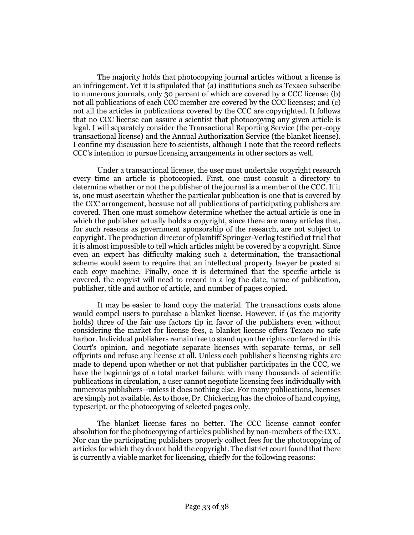The majority holds that photocopying journal articles without a license is an infringement. Yet it is stipulated that (a) institutions such as Texaco subscribe to numerous journals, only 30 percent of which are covered by a CCC license; (b) not all publications of each CCC member are covered by the CCC licenses; and (c) not all the articles in publications covered by the CCC are copyrighted. It follows that no CCC license can assure a scientist that photocopying any given article is legal. I will separately consider the Transactional Reporting Service (the per-copy transactional license) and the Annual Authorization Service (the blanket license). I confine my discussion here to scientists, although I note that the record reflects CCC's intention to pursue licensing arrangements in other sectors as well.

Under a transactional license, the user must undertake copyright research every time an article is photocopied. First, one must consult a directory to determine whether or not the publisher of the journal is a member of the CCC. If it is, one must ascertain whether the particular publication is one that is covered by the CCC arrangement, because not all publications of participating publishers are covered. Then one must somehow determine whether the actual article is one in which the publisher actually holds a copyright, since there are many articles that, for such reasons as government sponsorship of the research, are not subject to copyright. The production director of plaintiff Springer-Verlag testified at trial that it is almost impossible to tell which articles might be covered by a copyright. Since even an expert has difficulty making such a determination, the transactional scheme would seem to require that an intellectual property lawyer be posted at each copy machine. Finally, once it is determined that the specific article is covered, the copyist will need to record in a log the date, name of publication, publisher, title and author of article, and number of pages copied.

It may be easier to hand copy the material. The transactions costs alone would compel users to purchase a blanket license. However, if (as the majority holds) three of the fair use factors tip in favor of the publishers even without considering the market for license fees, a blanket license offers Texaco no safe harbor. Individual publishers remain free to stand upon the rights conferred in this Court's opinion, and negotiate separate licenses with separate terms, or sell offprints and refuse any license at all. Unless each publisher's licensing rights are made to depend upon whether or not that publisher participates in the CCC, we have the beginnings of a total market failure: with many thousands of scientific publications in circulation, a user cannot negotiate licensing fees individually with numerous publishers--unless it does nothing else. For many publications, licenses are simply not available. As to those, Dr. Chickering has the choice of hand copying, typescript, or the photocopying of selected pages only.

The blanket license fares no better. The CCC license cannot confer absolution for the photocopying of articles published by non-members of the CCC. Nor can the participating publishers properly collect fees for the photocopying of articles for which they do not hold the copyright. The district court found that there is currently a viable market for licensing, chiefly for the following reasons: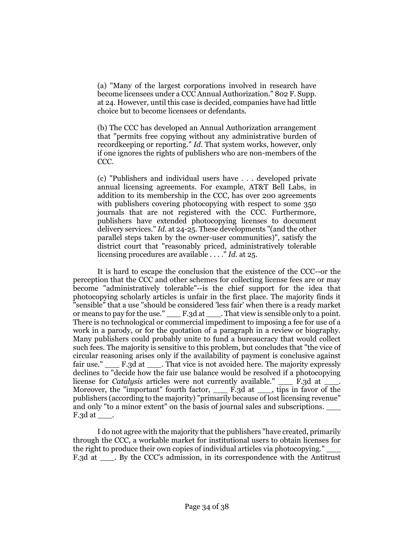(a) "Many of the largest corporations involved in research have become licensees under a CCC Annual Authorization." 802 F. Supp. at 24. However, until this case is decided, companies have had little choice but to become licensees or defendants.

(b) The CCC has developed an Annual Authorization arrangement that "permits free copying without any administrative burden of recordkeeping or reporting." *Id.* That system works, however, only if one ignores the rights of publishers who are non-members of the CCC.

(c) "Publishers and individual users have . . . developed private annual licensing agreements. For example, AT&T Bell Labs, in addition to its membership in the CCC, has over 200 agreements with publishers covering photocopying with respect to some 350 journals that are not registered with the CCC. Furthermore, publishers have extended photocopying licenses to document delivery services." *Id.* at 24-25. These developments "(and the other parallel steps taken by the owner-user communities)", satisfy the district court that "reasonably priced, administratively tolerable licensing procedures are available . . . ." *Id.* at 25.

It is hard to escape the conclusion that the existence of the CCC--or the perception that the CCC and other schemes for collecting license fees are or may become "administratively tolerable"--is the chief support for the idea that photocopying scholarly articles is unfair in the first place. The majority finds it "sensible" that a use "should be considered 'less fair' when there is a ready market or means to pay for the use." \_\_\_ F.3d at \_\_\_. That view is sensible only to a point. There is no technological or commercial impediment to imposing a fee for use of a work in a parody, or for the quotation of a paragraph in a review or biography. Many publishers could probably unite to fund a bureaucracy that would collect such fees. The majority is sensitive to this problem, but concludes that "the vice of circular reasoning arises only if the availability of payment is conclusive against fair use." \_\_\_\_\_ F.3d at \_\_\_\_. That vice is not avoided here. The majority expressly declines to "decide how the fair use balance would be resolved if a photocopying license for *Catalysis* articles were not currently available." \_\_\_\_ F.3d at Moreover, the "important" fourth factor, <u>see</u> F.3d at see, tips in favor of the publishers (according to the majority) "primarily because of lost licensing revenue" and only "to a minor extent" on the basis of journal sales and subscriptions. F.3d at  $\qquad$ .

I do not agree with the majority that the publishers "have created, primarily through the CCC, a workable market for institutional users to obtain licenses for the right to produce their own copies of individual articles via photocopying." F.3d at \_\_\_\_. By the CCC's admission, in its correspondence with the Antitrust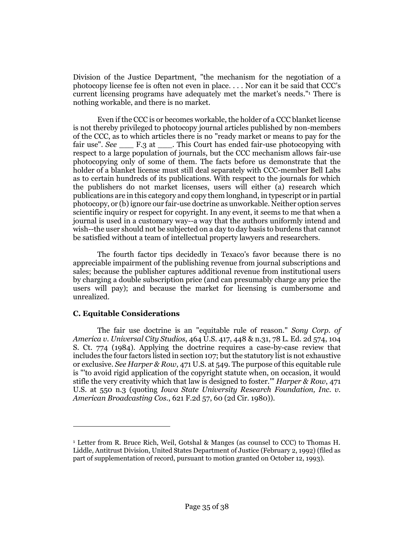Division of the Justice Department, "the mechanism for the negotiation of a photocopy license fee is often not even in place. . . . Nor can it be said that CCC's current licensing programs have adequately met the market's needs." <sup>1</sup> There is nothing workable, and there is no market.

Even if the CCC is or becomes workable, the holder of a CCC blanket license is not thereby privileged to photocopy journal articles published by non-members of the CCC, as to which articles there is no "ready market or means to pay for the fair use". *See* \_\_\_ F.3 at \_\_\_. This Court has ended fair-use photocopying with respect to a large population of journals, but the CCC mechanism allows fair-use photocopying only of some of them. The facts before us demonstrate that the holder of a blanket license must still deal separately with CCC-member Bell Labs as to certain hundreds of its publications. With respect to the journals for which the publishers do not market licenses, users will either (a) research which publications are in this category and copy them longhand, in typescript or in partial photocopy, or (b) ignore our fair-use doctrine as unworkable. Neither option serves scientific inquiry or respect for copyright. In any event, it seems to me that when a journal is used in a customary way--a way that the authors uniformly intend and wish--the user should not be subjected on a day to day basis to burdens that cannot be satisfied without a team of intellectual property lawyers and researchers.

The fourth factor tips decidedly in Texaco's favor because there is no appreciable impairment of the publishing revenue from journal subscriptions and sales; because the publisher captures additional revenue from institutional users by charging a double subscription price (and can presumably charge any price the users will pay); and because the market for licensing is cumbersome and unrealized.

## **C. Equitable Considerations**

 $\overline{a}$ 

The fair use doctrine is an "equitable rule of reason." *Sony Corp. of America v. Universal City Studios*, 464 U.S. 417, 448 & n.31, 78 L. Ed. 2d 574, 104 S. Ct. 774 (1984). Applying the doctrine requires a case-by-case review that includes the four factors listed in section 107; but the statutory list is not exhaustive or exclusive. *See Harper & Row*, 471 U.S. at 549. The purpose of this equitable rule is "'to avoid rigid application of the copyright statute when, on occasion, it would stifle the very creativity which that law is designed to foster.'" *Harper & Row*, 471 U.S. at 550 n.3 (quoting *Iowa State University Research Foundation, Inc. v. American Broadcasting Cos.*, 621 F.2d 57, 60 (2d Cir. 1980)).

<sup>1</sup> Letter from R. Bruce Rich, Weil, Gotshal & Manges (as counsel to CCC) to Thomas H. Liddle, Antitrust Division, United States Department of Justice (February 2, 1992) (filed as part of supplementation of record, pursuant to motion granted on October 12, 1993).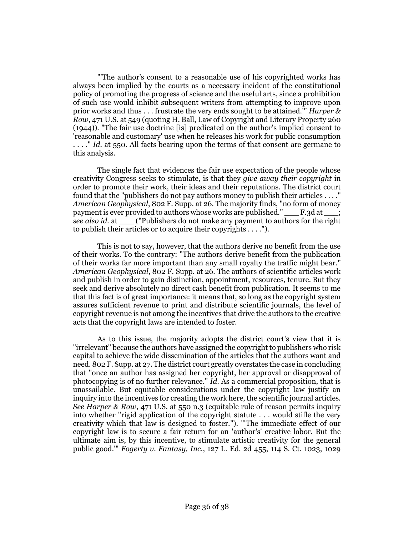"'The author's consent to a reasonable use of his copyrighted works has always been implied by the courts as a necessary incident of the constitutional policy of promoting the progress of science and the useful arts, since a prohibition of such use would inhibit subsequent writers from attempting to improve upon prior works and thus . . . frustrate the very ends sought to be attained.'" *Harper & Row*, 471 U.S. at 549 (quoting H. Ball, Law of Copyright and Literary Property 260 (1944)). "The fair use doctrine [is] predicated on the author's implied consent to 'reasonable and customary' use when he releases his work for public consumption . . . ." *Id.* at 550. All facts bearing upon the terms of that consent are germane to this analysis.

The single fact that evidences the fair use expectation of the people whose creativity Congress seeks to stimulate, is that they *give away their copyright* in order to promote their work, their ideas and their reputations. The district court found that the "publishers do not pay authors money to publish their articles . . . ." *American Geophysical*, 802 F. Supp. at 26. The majority finds, "no form of money payment is ever provided to authors whose works are published." F.3d at *see also id.* at \_\_\_ ("Publishers do not make any payment to authors for the right to publish their articles or to acquire their copyrights . . . .").

This is not to say, however, that the authors derive no benefit from the use of their works. To the contrary: "The authors derive benefit from the publication of their works far more important than any small royalty the traffic might bear." *American Geophysical*, 802 F. Supp. at 26. The authors of scientific articles work and publish in order to gain distinction, appointment, resources, tenure. But they seek and derive absolutely no direct cash benefit from publication. It seems to me that this fact is of great importance: it means that, so long as the copyright system assures sufficient revenue to print and distribute scientific journals, the level of copyright revenue is not among the incentives that drive the authors to the creative acts that the copyright laws are intended to foster.

As to this issue, the majority adopts the district court's view that it is "irrelevant" because the authors have assigned the copyright to publishers who risk capital to achieve the wide dissemination of the articles that the authors want and need. 802 F. Supp. at 27. The district court greatly overstates the case in concluding that "once an author has assigned her copyright, her approval or disapproval of photocopying is of no further relevance." *Id.* As a commercial proposition, that is unassailable. But equitable considerations under the copyright law justify an inquiry into the incentives for creating the work here, the scientific journal articles. *See Harper & Row*, 471 U.S. at 550 n.3 (equitable rule of reason permits inquiry into whether "rigid application of the copyright statute . . . would stifle the very creativity which that law is designed to foster."). "'The immediate effect of our copyright law is to secure a fair return for an 'author's' creative labor. But the ultimate aim is, by this incentive, to stimulate artistic creativity for the general public good.'" *Fogerty v. Fantasy, Inc.*, 127 L. Ed. 2d 455, 114 S. Ct. 1023, 1029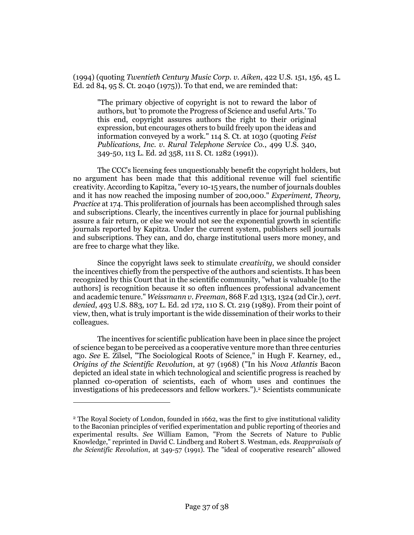(1994) (quoting *Twentieth Century Music Corp. v. Aiken*, 422 U.S. 151, 156, 45 L. Ed. 2d  $84, 95$  S. Ct. 2040 (1975)). To that end, we are reminded that:

"The primary objective of copyright is not to reward the labor of authors, but 'to promote the Progress of Science and useful Arts.' To this end, copyright assures authors the right to their original expression, but encourages others to build freely upon the ideas and information conveyed by a work." 114 S. Ct. at 1030 (quoting *Feist Publications, Inc. v. Rural Telephone Service Co.*, 499 U.S. 340, 349-50, 113 L. Ed. 2d 358, 111 S. Ct. 1282 (1991)).

The CCC's licensing fees unquestionably benefit the copyright holders, but no argument has been made that this additional revenue will fuel scientific creativity. According to Kapitza, "every 10-15 years, the number of journals doubles and it has now reached the imposing number of 200,000." *Experiment, Theory, Practice* at 174. This proliferation of journals has been accomplished through sales and subscriptions. Clearly, the incentives currently in place for journal publishing assure a fair return, or else we would not see the exponential growth in scientific journals reported by Kapitza. Under the current system, publishers sell journals and subscriptions. They can, and do, charge institutional users more money, and are free to charge what they like.

Since the copyright laws seek to stimulate *creativity*, we should consider the incentives chiefly from the perspective of the authors and scientists. It has been recognized by this Court that in the scientific community, "what is valuable [to the authors] is recognition because it so often influences professional advancement and academic tenure." *Weissmann v. Freeman*, 868 F.2d 1313, 1324 (2d Cir.), *cert. denied*, 493 U.S. 883, 107 L. Ed. 2d 172, 110 S. Ct. 219 (1989). From their point of view, then, what is truly important is the wide dissemination of their works to their colleagues.

The incentives for scientific publication have been in place since the project of science began to be perceived as a cooperative venture more than three centuries ago. *See* E. Zilsel, "The Sociological Roots of Science," in Hugh F. Kearney, ed., *Origins of the Scientific Revolution*, at 97 (1968) ("In his *Nova Atlantis* Bacon depicted an ideal state in which technological and scientific progress is reached by planned co-operation of scientists, each of whom uses and continues the investigations of his predecessors and fellow workers.").<sup>2</sup> Scientists communicate

<sup>2</sup> The Royal Society of London, founded in 1662, was the first to give institutional validity to the Baconian principles of verified experimentation and public reporting of theories and experimental results. *See* William Eamon, "From the Secrets of Nature to Public Knowledge," reprinted in David C. Lindberg and Robert S. Westman, eds. *Reappraisals of the Scientific Revolution*, at 349-57 (1991). The "ideal of cooperative research" allowed